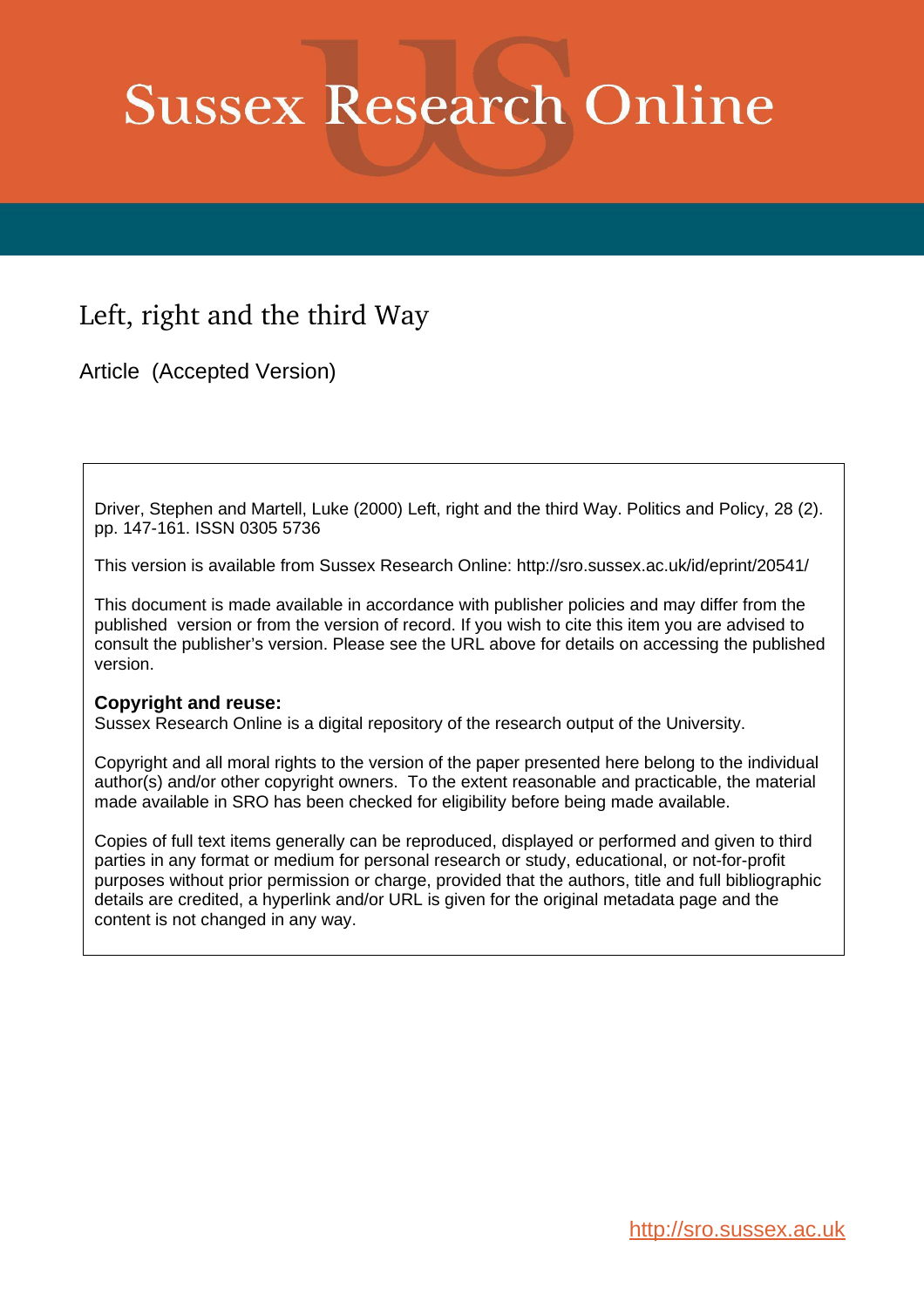# **Sussex Research Online**

## Left, right and the third Way

Article (Accepted Version)

Driver, Stephen and Martell, Luke (2000) Left, right and the third Way. Politics and Policy, 28 (2). pp. 147-161. ISSN 0305 5736

This version is available from Sussex Research Online: http://sro.sussex.ac.uk/id/eprint/20541/

This document is made available in accordance with publisher policies and may differ from the published version or from the version of record. If you wish to cite this item you are advised to consult the publisher's version. Please see the URL above for details on accessing the published version.

#### **Copyright and reuse:**

Sussex Research Online is a digital repository of the research output of the University.

Copyright and all moral rights to the version of the paper presented here belong to the individual author(s) and/or other copyright owners. To the extent reasonable and practicable, the material made available in SRO has been checked for eligibility before being made available.

Copies of full text items generally can be reproduced, displayed or performed and given to third parties in any format or medium for personal research or study, educational, or not-for-profit purposes without prior permission or charge, provided that the authors, title and full bibliographic details are credited, a hyperlink and/or URL is given for the original metadata page and the content is not changed in any way.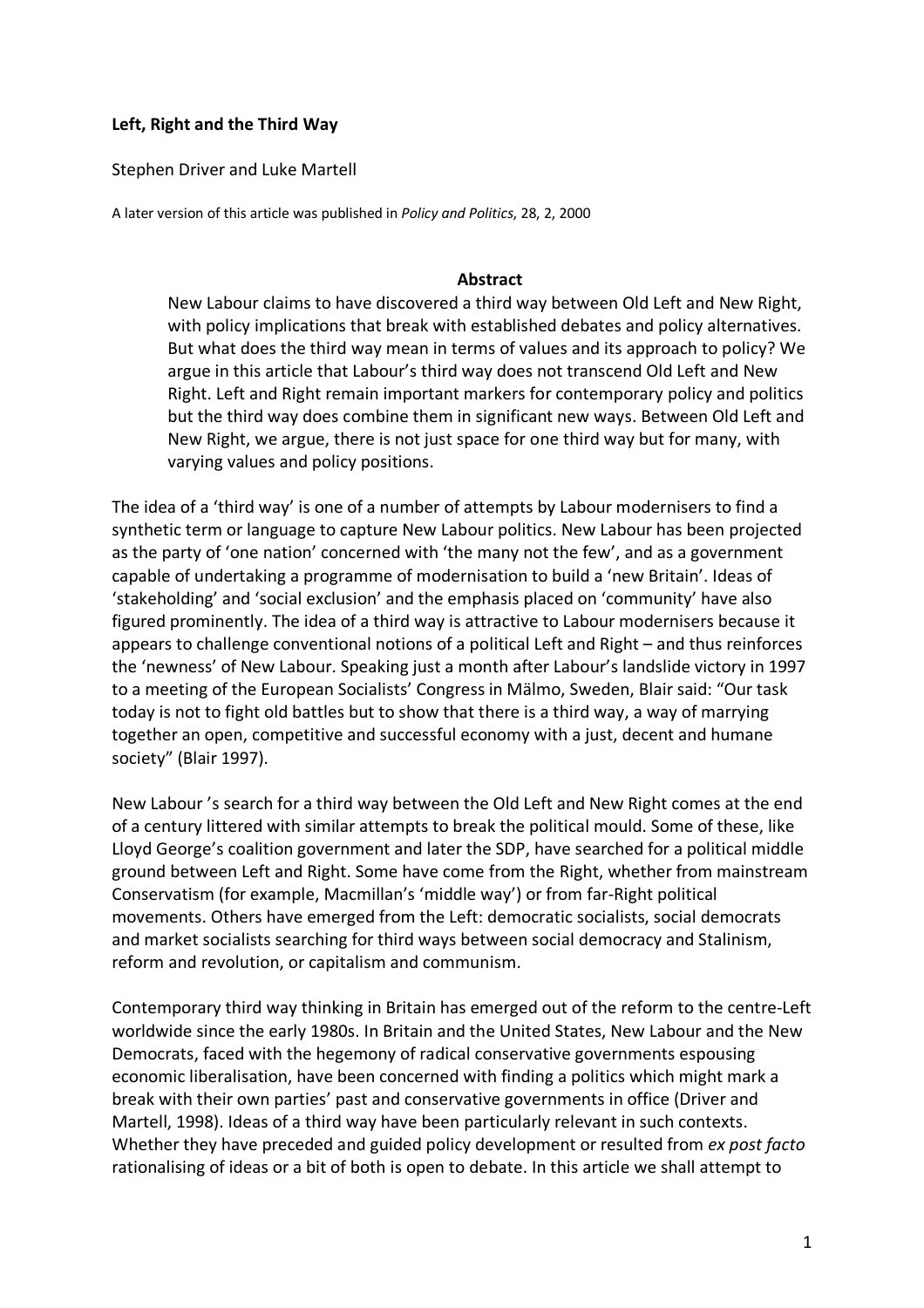#### **Left, Right and the Third Way**

Stephen Driver and Luke Martell

A later version of this article was published in *Policy and Politics*, 28, 2, 2000

#### **Abstract**

New Labour claims to have discovered a third way between Old Left and New Right, with policy implications that break with established debates and policy alternatives. But what does the third way mean in terms of values and its approach to policy? We argue in this article that Labour's third way does not transcend Old Left and New Right. Left and Right remain important markers for contemporary policy and politics but the third way does combine them in significant new ways. Between Old Left and New Right, we argue, there is not just space for one third way but for many, with varying values and policy positions.

The idea of a 'third way' is one of a number of attempts by Labour modernisers to find a synthetic term or language to capture New Labour politics. New Labour has been projected as the party of 'one nation' concerned with 'the many not the few', and as a government capable of undertaking a programme of modernisation to build a 'new Britain'. Ideas of 'stakeholding' and 'social exclusion' and the emphasis placed on 'community' have also figured prominently. The idea of a third way is attractive to Labour modernisers because it appears to challenge conventional notions of a political Left and Right – and thus reinforces the 'newness' of New Labour. Speaking just a month after Labour's landslide victory in 1997 to a meeting of the European Socialists' Congress in Mälmo, Sweden, Blair said: "Our task today is not to fight old battles but to show that there is a third way, a way of marrying together an open, competitive and successful economy with a just, decent and humane society" (Blair 1997).

New Labour 's search for a third way between the Old Left and New Right comes at the end of a century littered with similar attempts to break the political mould. Some of these, like Lloyd George's coalition government and later the SDP, have searched for a political middle ground between Left and Right. Some have come from the Right, whether from mainstream Conservatism (for example, Macmillan's 'middle way') or from far-Right political movements. Others have emerged from the Left: democratic socialists, social democrats and market socialists searching for third ways between social democracy and Stalinism, reform and revolution, or capitalism and communism.

Contemporary third way thinking in Britain has emerged out of the reform to the centre-Left worldwide since the early 1980s. In Britain and the United States, New Labour and the New Democrats, faced with the hegemony of radical conservative governments espousing economic liberalisation, have been concerned with finding a politics which might mark a break with their own parties' past and conservative governments in office (Driver and Martell, 1998). Ideas of a third way have been particularly relevant in such contexts. Whether they have preceded and guided policy development or resulted from *ex post facto* rationalising of ideas or a bit of both is open to debate. In this article we shall attempt to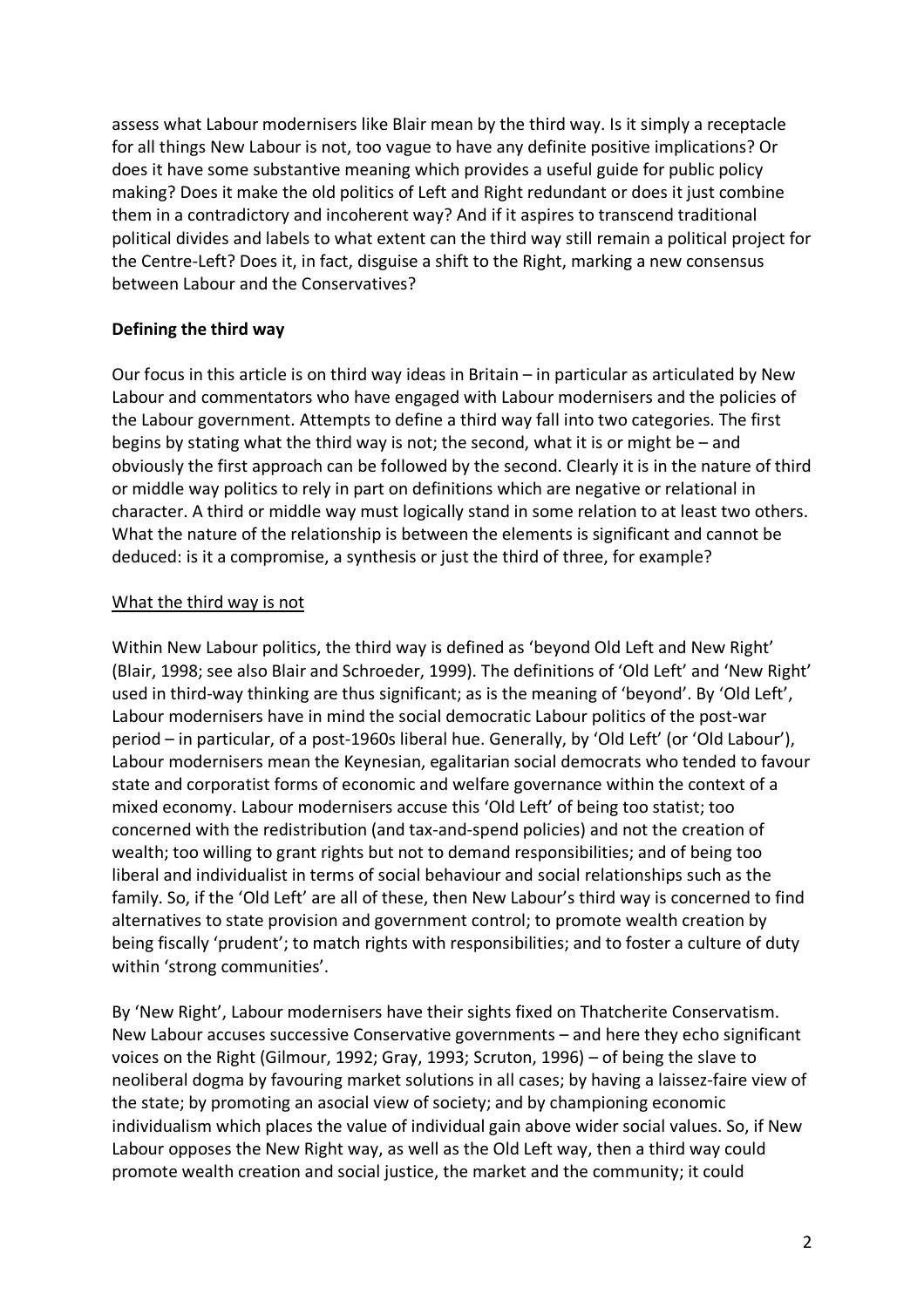assess what Labour modernisers like Blair mean by the third way. Is it simply a receptacle for all things New Labour is not, too vague to have any definite positive implications? Or does it have some substantive meaning which provides a useful guide for public policy making? Does it make the old politics of Left and Right redundant or does it just combine them in a contradictory and incoherent way? And if it aspires to transcend traditional political divides and labels to what extent can the third way still remain a political project for the Centre-Left? Does it, in fact, disguise a shift to the Right, marking a new consensus between Labour and the Conservatives?

#### **Defining the third way**

Our focus in this article is on third way ideas in Britain – in particular as articulated by New Labour and commentators who have engaged with Labour modernisers and the policies of the Labour government. Attempts to define a third way fall into two categories. The first begins by stating what the third way is not; the second, what it is or might be – and obviously the first approach can be followed by the second. Clearly it is in the nature of third or middle way politics to rely in part on definitions which are negative or relational in character. A third or middle way must logically stand in some relation to at least two others. What the nature of the relationship is between the elements is significant and cannot be deduced: is it a compromise, a synthesis or just the third of three, for example?

#### What the third way is not

Within New Labour politics, the third way is defined as 'beyond Old Left and New Right' (Blair, 1998; see also Blair and Schroeder, 1999). The definitions of 'Old Left' and 'New Right' used in third-way thinking are thus significant; as is the meaning of 'beyond'. By 'Old Left', Labour modernisers have in mind the social democratic Labour politics of the post-war period – in particular, of a post-1960s liberal hue. Generally, by 'Old Left' (or 'Old Labour'), Labour modernisers mean the Keynesian, egalitarian social democrats who tended to favour state and corporatist forms of economic and welfare governance within the context of a mixed economy. Labour modernisers accuse this 'Old Left' of being too statist; too concerned with the redistribution (and tax-and-spend policies) and not the creation of wealth; too willing to grant rights but not to demand responsibilities; and of being too liberal and individualist in terms of social behaviour and social relationships such as the family. So, if the 'Old Left' are all of these, then New Labour's third way is concerned to find alternatives to state provision and government control; to promote wealth creation by being fiscally 'prudent'; to match rights with responsibilities; and to foster a culture of duty within 'strong communities'.

By 'New Right', Labour modernisers have their sights fixed on Thatcherite Conservatism. New Labour accuses successive Conservative governments – and here they echo significant voices on the Right (Gilmour, 1992; Gray, 1993; Scruton, 1996) – of being the slave to neoliberal dogma by favouring market solutions in all cases; by having a laissez-faire view of the state; by promoting an asocial view of society; and by championing economic individualism which places the value of individual gain above wider social values. So, if New Labour opposes the New Right way, as well as the Old Left way, then a third way could promote wealth creation and social justice, the market and the community; it could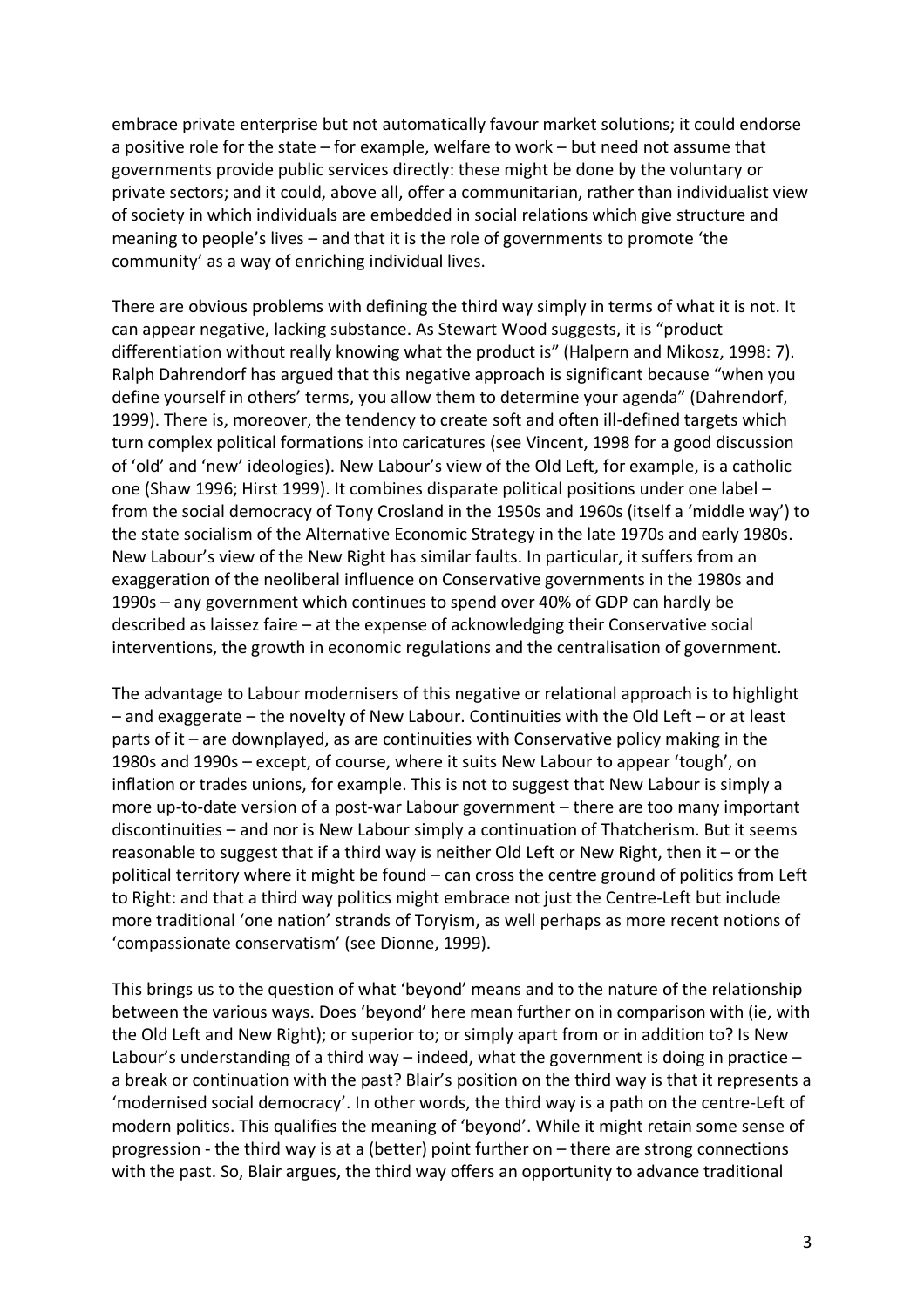embrace private enterprise but not automatically favour market solutions; it could endorse a positive role for the state – for example, welfare to work – but need not assume that governments provide public services directly: these might be done by the voluntary or private sectors; and it could, above all, offer a communitarian, rather than individualist view of society in which individuals are embedded in social relations which give structure and meaning to people's lives – and that it is the role of governments to promote 'the community' as a way of enriching individual lives.

There are obvious problems with defining the third way simply in terms of what it is not. It can appear negative, lacking substance. As Stewart Wood suggests, it is "product differentiation without really knowing what the product is" (Halpern and Mikosz, 1998: 7). Ralph Dahrendorf has argued that this negative approach is significant because "when you define yourself in others' terms, you allow them to determine your agenda" (Dahrendorf, 1999). There is, moreover, the tendency to create soft and often ill-defined targets which turn complex political formations into caricatures (see Vincent, 1998 for a good discussion of 'old' and 'new' ideologies). New Labour's view of the Old Left, for example, is a catholic one (Shaw 1996; Hirst 1999). It combines disparate political positions under one label – from the social democracy of Tony Crosland in the 1950s and 1960s (itself a 'middle way') to the state socialism of the Alternative Economic Strategy in the late 1970s and early 1980s. New Labour's view of the New Right has similar faults. In particular, it suffers from an exaggeration of the neoliberal influence on Conservative governments in the 1980s and 1990s – any government which continues to spend over 40% of GDP can hardly be described as laissez faire – at the expense of acknowledging their Conservative social interventions, the growth in economic regulations and the centralisation of government.

The advantage to Labour modernisers of this negative or relational approach is to highlight – and exaggerate – the novelty of New Labour. Continuities with the Old Left – or at least parts of it – are downplayed, as are continuities with Conservative policy making in the 1980s and 1990s – except, of course, where it suits New Labour to appear 'tough', on inflation or trades unions, for example. This is not to suggest that New Labour is simply a more up-to-date version of a post-war Labour government – there are too many important discontinuities – and nor is New Labour simply a continuation of Thatcherism. But it seems reasonable to suggest that if a third way is neither Old Left or New Right, then it – or the political territory where it might be found – can cross the centre ground of politics from Left to Right: and that a third way politics might embrace not just the Centre-Left but include more traditional 'one nation' strands of Toryism, as well perhaps as more recent notions of 'compassionate conservatism' (see Dionne, 1999).

This brings us to the question of what 'beyond' means and to the nature of the relationship between the various ways. Does 'beyond' here mean further on in comparison with (ie, with the Old Left and New Right); or superior to; or simply apart from or in addition to? Is New Labour's understanding of a third way – indeed, what the government is doing in practice – a break or continuation with the past? Blair's position on the third way is that it represents a 'modernised social democracy'. In other words, the third way is a path on the centre-Left of modern politics. This qualifies the meaning of 'beyond'. While it might retain some sense of progression - the third way is at a (better) point further on – there are strong connections with the past. So, Blair argues, the third way offers an opportunity to advance traditional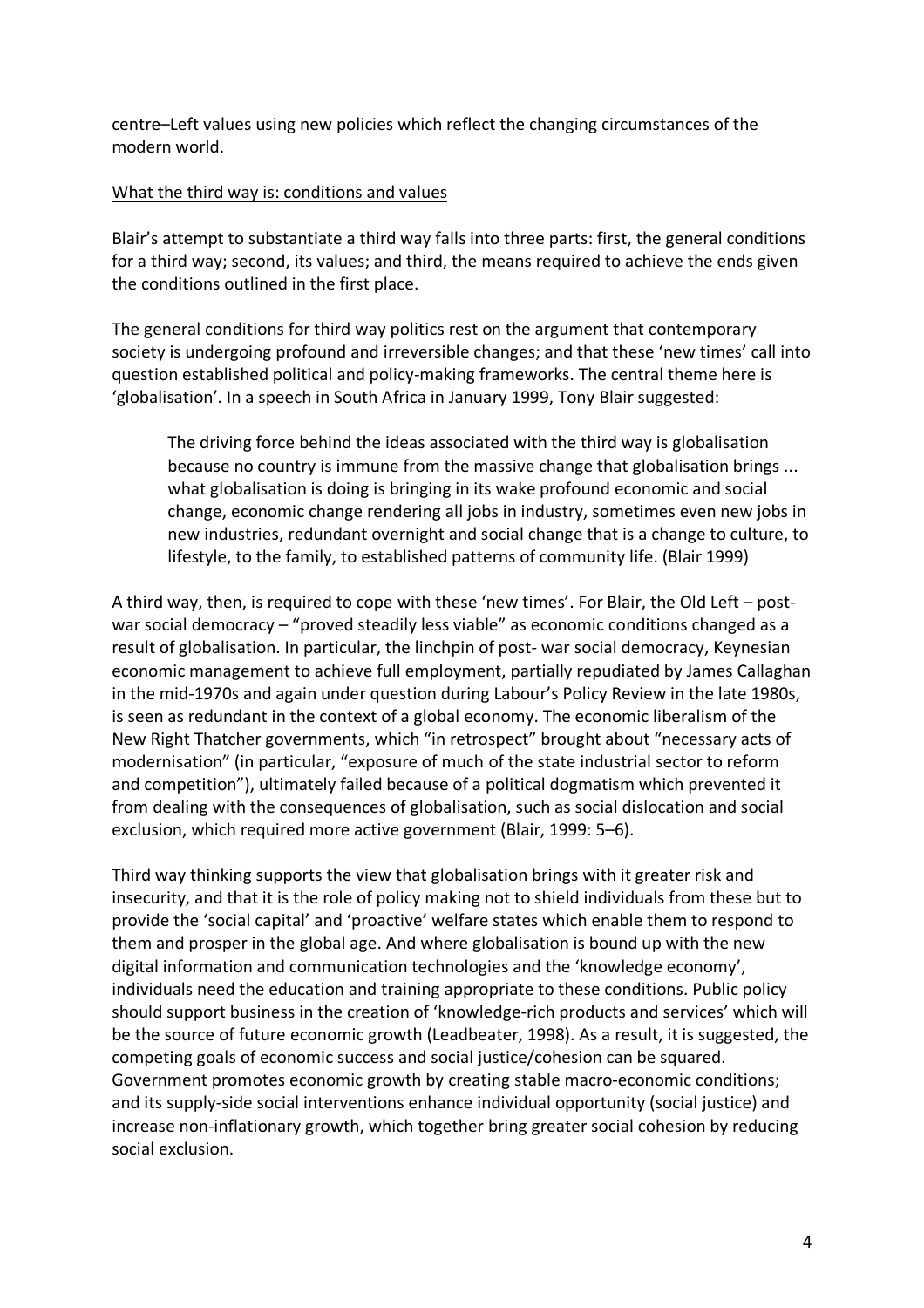centre–Left values using new policies which reflect the changing circumstances of the modern world.

#### What the third way is: conditions and values

Blair's attempt to substantiate a third way falls into three parts: first, the general conditions for a third way; second, its values; and third, the means required to achieve the ends given the conditions outlined in the first place.

The general conditions for third way politics rest on the argument that contemporary society is undergoing profound and irreversible changes; and that these 'new times' call into question established political and policy-making frameworks. The central theme here is 'globalisation'. In a speech in South Africa in January 1999, Tony Blair suggested:

The driving force behind the ideas associated with the third way is globalisation because no country is immune from the massive change that globalisation brings ... what globalisation is doing is bringing in its wake profound economic and social change, economic change rendering all jobs in industry, sometimes even new jobs in new industries, redundant overnight and social change that is a change to culture, to lifestyle, to the family, to established patterns of community life. (Blair 1999)

A third way, then, is required to cope with these 'new times'. For Blair, the Old Left – postwar social democracy – "proved steadily less viable" as economic conditions changed as a result of globalisation. In particular, the linchpin of post- war social democracy, Keynesian economic management to achieve full employment, partially repudiated by James Callaghan in the mid-1970s and again under question during Labour's Policy Review in the late 1980s, is seen as redundant in the context of a global economy. The economic liberalism of the New Right Thatcher governments, which "in retrospect" brought about "necessary acts of modernisation" (in particular, "exposure of much of the state industrial sector to reform and competition"), ultimately failed because of a political dogmatism which prevented it from dealing with the consequences of globalisation, such as social dislocation and social exclusion, which required more active government (Blair, 1999: 5–6).

Third way thinking supports the view that globalisation brings with it greater risk and insecurity, and that it is the role of policy making not to shield individuals from these but to provide the 'social capital' and 'proactive' welfare states which enable them to respond to them and prosper in the global age. And where globalisation is bound up with the new digital information and communication technologies and the 'knowledge economy', individuals need the education and training appropriate to these conditions. Public policy should support business in the creation of 'knowledge-rich products and services' which will be the source of future economic growth (Leadbeater, 1998). As a result, it is suggested, the competing goals of economic success and social justice/cohesion can be squared. Government promotes economic growth by creating stable macro-economic conditions; and its supply-side social interventions enhance individual opportunity (social justice) and increase non-inflationary growth, which together bring greater social cohesion by reducing social exclusion.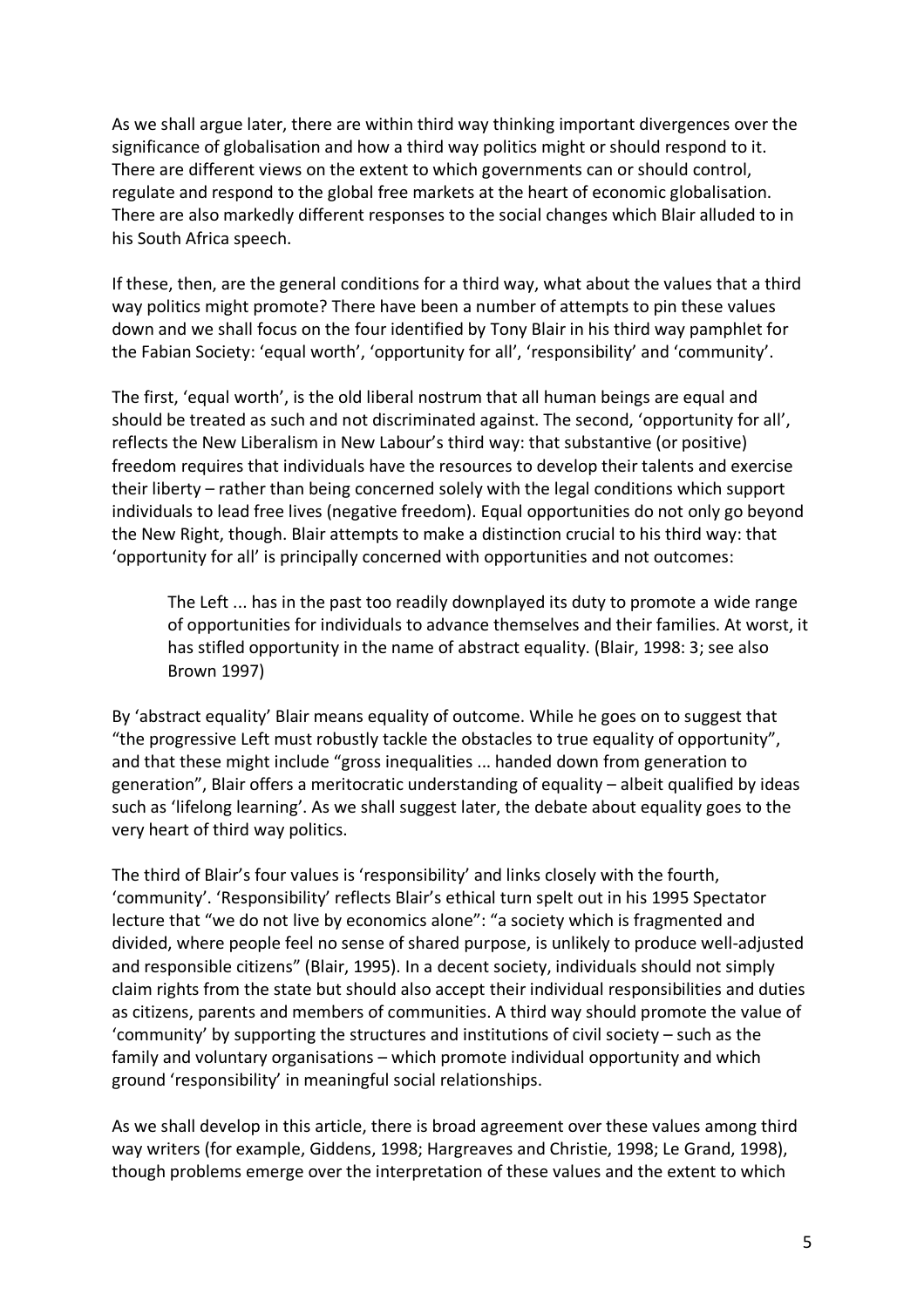As we shall argue later, there are within third way thinking important divergences over the significance of globalisation and how a third way politics might or should respond to it. There are different views on the extent to which governments can or should control, regulate and respond to the global free markets at the heart of economic globalisation. There are also markedly different responses to the social changes which Blair alluded to in his South Africa speech.

If these, then, are the general conditions for a third way, what about the values that a third way politics might promote? There have been a number of attempts to pin these values down and we shall focus on the four identified by Tony Blair in his third way pamphlet for the Fabian Society: 'equal worth', 'opportunity for all', 'responsibility' and 'community'.

The first, 'equal worth', is the old liberal nostrum that all human beings are equal and should be treated as such and not discriminated against. The second, 'opportunity for all', reflects the New Liberalism in New Labour's third way: that substantive (or positive) freedom requires that individuals have the resources to develop their talents and exercise their liberty – rather than being concerned solely with the legal conditions which support individuals to lead free lives (negative freedom). Equal opportunities do not only go beyond the New Right, though. Blair attempts to make a distinction crucial to his third way: that 'opportunity for all' is principally concerned with opportunities and not outcomes:

The Left ... has in the past too readily downplayed its duty to promote a wide range of opportunities for individuals to advance themselves and their families. At worst, it has stifled opportunity in the name of abstract equality. (Blair, 1998: 3; see also Brown 1997)

By 'abstract equality' Blair means equality of outcome. While he goes on to suggest that "the progressive Left must robustly tackle the obstacles to true equality of opportunity", and that these might include "gross inequalities ... handed down from generation to generation", Blair offers a meritocratic understanding of equality – albeit qualified by ideas such as 'lifelong learning'. As we shall suggest later, the debate about equality goes to the very heart of third way politics.

The third of Blair's four values is 'responsibility' and links closely with the fourth, 'community'. 'Responsibility' reflects Blair's ethical turn spelt out in his 1995 Spectator lecture that "we do not live by economics alone": "a society which is fragmented and divided, where people feel no sense of shared purpose, is unlikely to produce well-adjusted and responsible citizens" (Blair, 1995). In a decent society, individuals should not simply claim rights from the state but should also accept their individual responsibilities and duties as citizens, parents and members of communities. A third way should promote the value of 'community' by supporting the structures and institutions of civil society – such as the family and voluntary organisations – which promote individual opportunity and which ground 'responsibility' in meaningful social relationships.

As we shall develop in this article, there is broad agreement over these values among third way writers (for example, Giddens, 1998; Hargreaves and Christie, 1998; Le Grand, 1998), though problems emerge over the interpretation of these values and the extent to which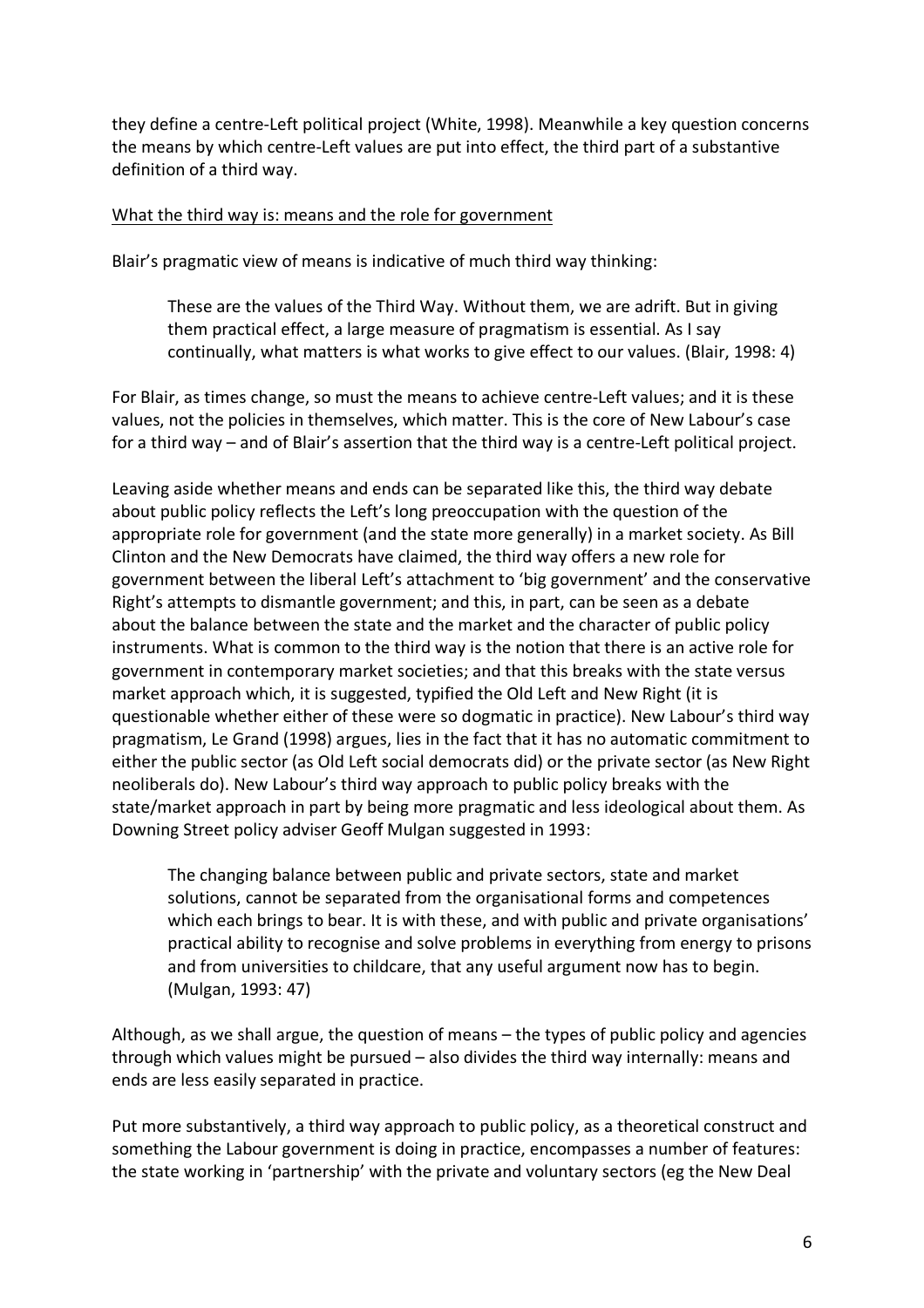they define a centre-Left political project (White, 1998). Meanwhile a key question concerns the means by which centre-Left values are put into effect, the third part of a substantive definition of a third way.

#### What the third way is: means and the role for government

Blair's pragmatic view of means is indicative of much third way thinking:

These are the values of the Third Way. Without them, we are adrift. But in giving them practical effect, a large measure of pragmatism is essential. As I say continually, what matters is what works to give effect to our values. (Blair, 1998: 4)

For Blair, as times change, so must the means to achieve centre-Left values; and it is these values, not the policies in themselves, which matter. This is the core of New Labour's case for a third way – and of Blair's assertion that the third way is a centre-Left political project.

Leaving aside whether means and ends can be separated like this, the third way debate about public policy reflects the Left's long preoccupation with the question of the appropriate role for government (and the state more generally) in a market society. As Bill Clinton and the New Democrats have claimed, the third way offers a new role for government between the liberal Left's attachment to 'big government' and the conservative Right's attempts to dismantle government; and this, in part, can be seen as a debate about the balance between the state and the market and the character of public policy instruments. What is common to the third way is the notion that there is an active role for government in contemporary market societies; and that this breaks with the state versus market approach which, it is suggested, typified the Old Left and New Right (it is questionable whether either of these were so dogmatic in practice). New Labour's third way pragmatism, Le Grand (1998) argues, lies in the fact that it has no automatic commitment to either the public sector (as Old Left social democrats did) or the private sector (as New Right neoliberals do). New Labour's third way approach to public policy breaks with the state/market approach in part by being more pragmatic and less ideological about them. As Downing Street policy adviser Geoff Mulgan suggested in 1993:

The changing balance between public and private sectors, state and market solutions, cannot be separated from the organisational forms and competences which each brings to bear. It is with these, and with public and private organisations' practical ability to recognise and solve problems in everything from energy to prisons and from universities to childcare, that any useful argument now has to begin. (Mulgan, 1993: 47)

Although, as we shall argue, the question of means – the types of public policy and agencies through which values might be pursued – also divides the third way internally: means and ends are less easily separated in practice.

Put more substantively, a third way approach to public policy, as a theoretical construct and something the Labour government is doing in practice, encompasses a number of features: the state working in 'partnership' with the private and voluntary sectors (eg the New Deal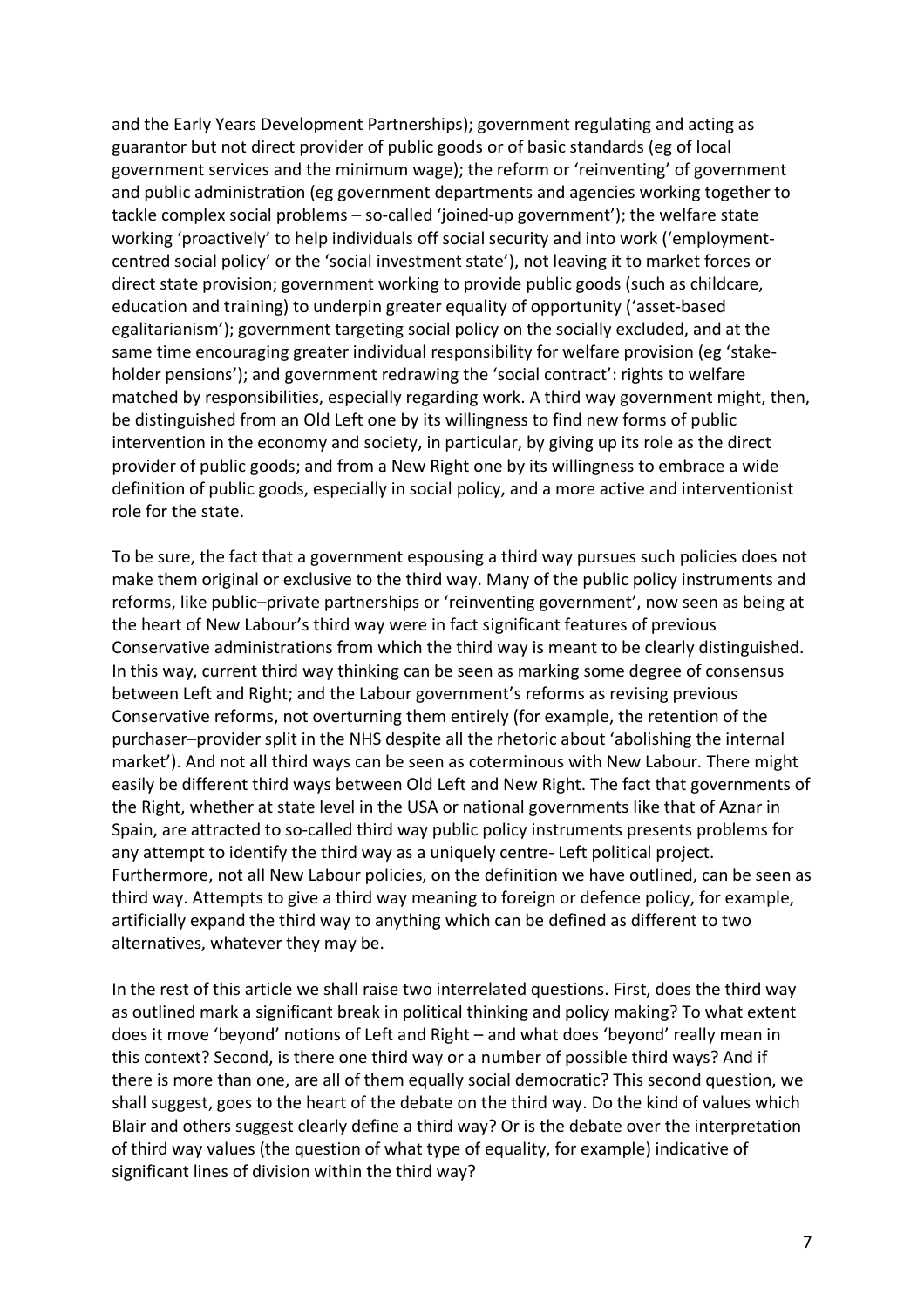and the Early Years Development Partnerships); government regulating and acting as guarantor but not direct provider of public goods or of basic standards (eg of local government services and the minimum wage); the reform or 'reinventing' of government and public administration (eg government departments and agencies working together to tackle complex social problems – so-called 'joined-up government'); the welfare state working 'proactively' to help individuals off social security and into work ('employmentcentred social policy' or the 'social investment state'), not leaving it to market forces or direct state provision; government working to provide public goods (such as childcare, education and training) to underpin greater equality of opportunity ('asset-based egalitarianism'); government targeting social policy on the socially excluded, and at the same time encouraging greater individual responsibility for welfare provision (eg 'stakeholder pensions'); and government redrawing the 'social contract': rights to welfare matched by responsibilities, especially regarding work. A third way government might, then, be distinguished from an Old Left one by its willingness to find new forms of public intervention in the economy and society, in particular, by giving up its role as the direct provider of public goods; and from a New Right one by its willingness to embrace a wide definition of public goods, especially in social policy, and a more active and interventionist role for the state.

To be sure, the fact that a government espousing a third way pursues such policies does not make them original or exclusive to the third way. Many of the public policy instruments and reforms, like public–private partnerships or 'reinventing government', now seen as being at the heart of New Labour's third way were in fact significant features of previous Conservative administrations from which the third way is meant to be clearly distinguished. In this way, current third way thinking can be seen as marking some degree of consensus between Left and Right; and the Labour government's reforms as revising previous Conservative reforms, not overturning them entirely (for example, the retention of the purchaser–provider split in the NHS despite all the rhetoric about 'abolishing the internal market'). And not all third ways can be seen as coterminous with New Labour. There might easily be different third ways between Old Left and New Right. The fact that governments of the Right, whether at state level in the USA or national governments like that of Aznar in Spain, are attracted to so-called third way public policy instruments presents problems for any attempt to identify the third way as a uniquely centre- Left political project. Furthermore, not all New Labour policies, on the definition we have outlined, can be seen as third way. Attempts to give a third way meaning to foreign or defence policy, for example, artificially expand the third way to anything which can be defined as different to two alternatives, whatever they may be.

In the rest of this article we shall raise two interrelated questions. First, does the third way as outlined mark a significant break in political thinking and policy making? To what extent does it move 'beyond' notions of Left and Right – and what does 'beyond' really mean in this context? Second, is there one third way or a number of possible third ways? And if there is more than one, are all of them equally social democratic? This second question, we shall suggest, goes to the heart of the debate on the third way. Do the kind of values which Blair and others suggest clearly define a third way? Or is the debate over the interpretation of third way values (the question of what type of equality, for example) indicative of significant lines of division within the third way?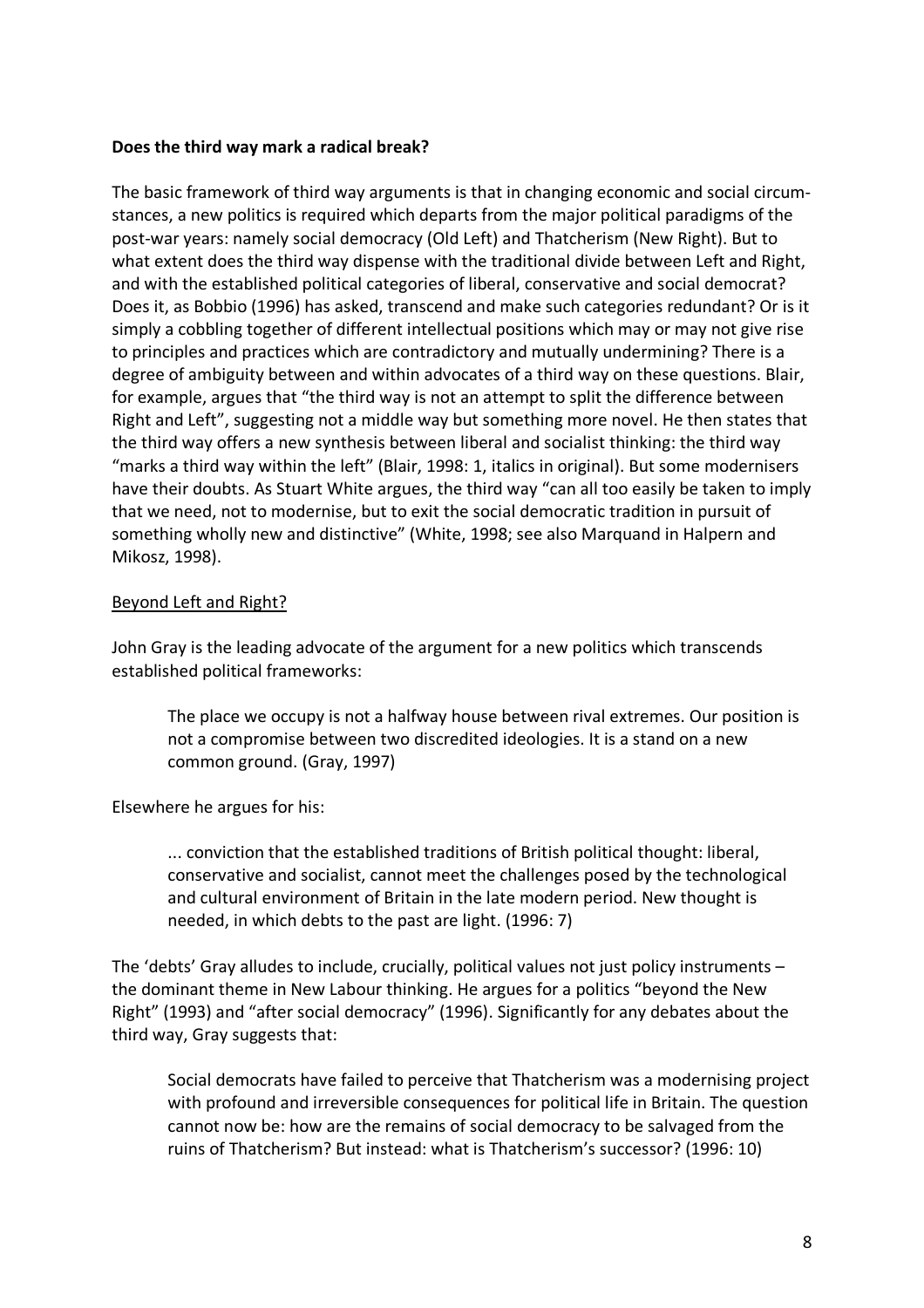#### **Does the third way mark a radical break?**

The basic framework of third way arguments is that in changing economic and social circumstances, a new politics is required which departs from the major political paradigms of the post-war years: namely social democracy (Old Left) and Thatcherism (New Right). But to what extent does the third way dispense with the traditional divide between Left and Right, and with the established political categories of liberal, conservative and social democrat? Does it, as Bobbio (1996) has asked, transcend and make such categories redundant? Or is it simply a cobbling together of different intellectual positions which may or may not give rise to principles and practices which are contradictory and mutually undermining? There is a degree of ambiguity between and within advocates of a third way on these questions. Blair, for example, argues that "the third way is not an attempt to split the difference between Right and Left", suggesting not a middle way but something more novel. He then states that the third way offers a new synthesis between liberal and socialist thinking: the third way "marks a third way within the left" (Blair, 1998: 1, italics in original). But some modernisers have their doubts. As Stuart White argues, the third way "can all too easily be taken to imply that we need, not to modernise, but to exit the social democratic tradition in pursuit of something wholly new and distinctive" (White, 1998; see also Marquand in Halpern and Mikosz, 1998).

#### Beyond Left and Right?

John Gray is the leading advocate of the argument for a new politics which transcends established political frameworks:

The place we occupy is not a halfway house between rival extremes. Our position is not a compromise between two discredited ideologies. It is a stand on a new common ground. (Gray, 1997)

Elsewhere he argues for his:

... conviction that the established traditions of British political thought: liberal, conservative and socialist, cannot meet the challenges posed by the technological and cultural environment of Britain in the late modern period. New thought is needed, in which debts to the past are light. (1996: 7)

The 'debts' Gray alludes to include, crucially, political values not just policy instruments – the dominant theme in New Labour thinking. He argues for a politics "beyond the New Right" (1993) and "after social democracy" (1996). Significantly for any debates about the third way, Gray suggests that:

Social democrats have failed to perceive that Thatcherism was a modernising project with profound and irreversible consequences for political life in Britain. The question cannot now be: how are the remains of social democracy to be salvaged from the ruins of Thatcherism? But instead: what is Thatcherism's successor? (1996: 10)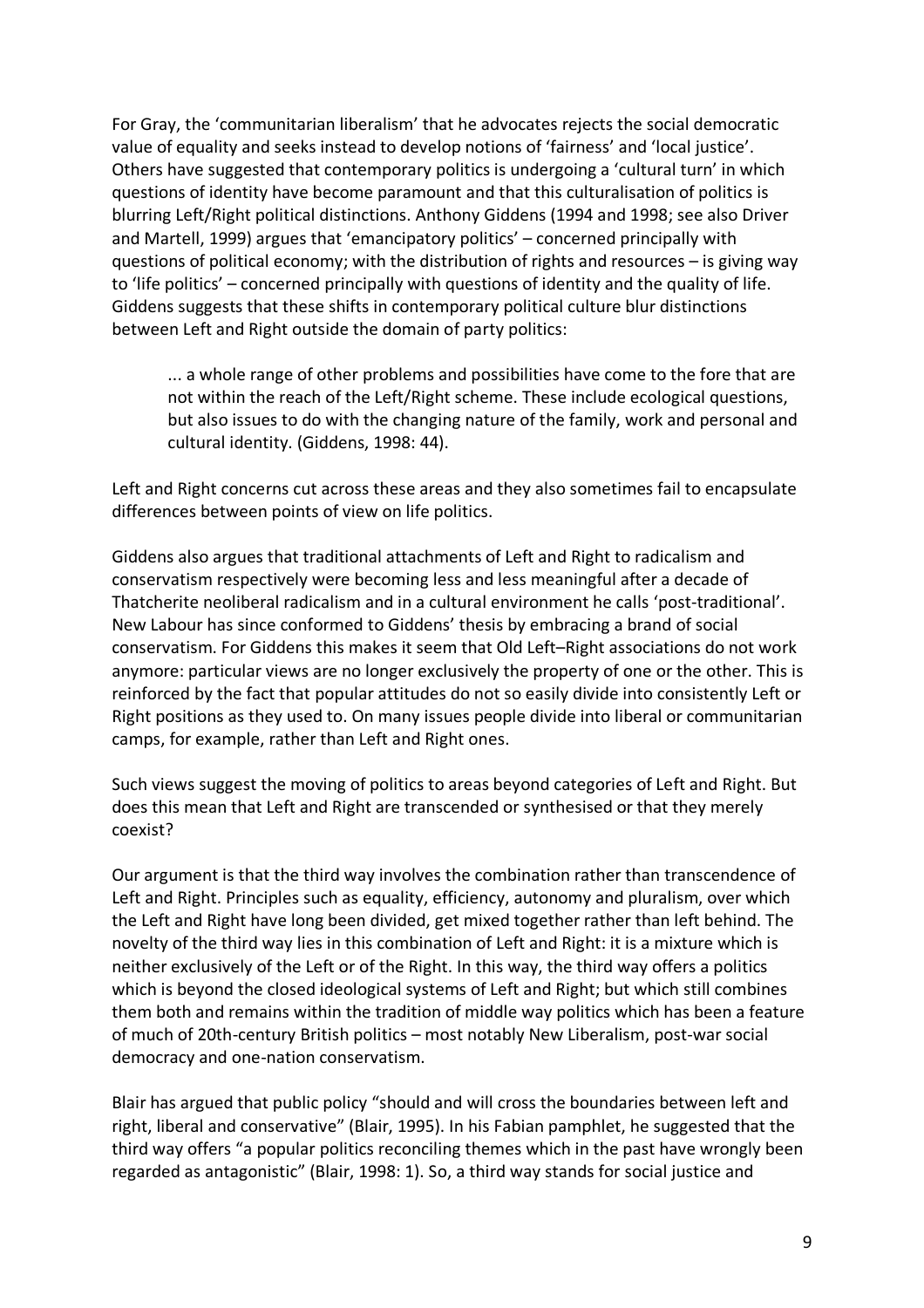For Gray, the 'communitarian liberalism' that he advocates rejects the social democratic value of equality and seeks instead to develop notions of 'fairness' and 'local justice'. Others have suggested that contemporary politics is undergoing a 'cultural turn' in which questions of identity have become paramount and that this culturalisation of politics is blurring Left/Right political distinctions. Anthony Giddens (1994 and 1998; see also Driver and Martell, 1999) argues that 'emancipatory politics' – concerned principally with questions of political economy; with the distribution of rights and resources – is giving way to 'life politics' – concerned principally with questions of identity and the quality of life. Giddens suggests that these shifts in contemporary political culture blur distinctions between Left and Right outside the domain of party politics:

... a whole range of other problems and possibilities have come to the fore that are not within the reach of the Left/Right scheme. These include ecological questions, but also issues to do with the changing nature of the family, work and personal and cultural identity. (Giddens, 1998: 44).

Left and Right concerns cut across these areas and they also sometimes fail to encapsulate differences between points of view on life politics.

Giddens also argues that traditional attachments of Left and Right to radicalism and conservatism respectively were becoming less and less meaningful after a decade of Thatcherite neoliberal radicalism and in a cultural environment he calls 'post-traditional'. New Labour has since conformed to Giddens' thesis by embracing a brand of social conservatism. For Giddens this makes it seem that Old Left–Right associations do not work anymore: particular views are no longer exclusively the property of one or the other. This is reinforced by the fact that popular attitudes do not so easily divide into consistently Left or Right positions as they used to. On many issues people divide into liberal or communitarian camps, for example, rather than Left and Right ones.

Such views suggest the moving of politics to areas beyond categories of Left and Right. But does this mean that Left and Right are transcended or synthesised or that they merely coexist?

Our argument is that the third way involves the combination rather than transcendence of Left and Right. Principles such as equality, efficiency, autonomy and pluralism, over which the Left and Right have long been divided, get mixed together rather than left behind. The novelty of the third way lies in this combination of Left and Right: it is a mixture which is neither exclusively of the Left or of the Right. In this way, the third way offers a politics which is beyond the closed ideological systems of Left and Right; but which still combines them both and remains within the tradition of middle way politics which has been a feature of much of 20th-century British politics – most notably New Liberalism, post-war social democracy and one-nation conservatism.

Blair has argued that public policy "should and will cross the boundaries between left and right, liberal and conservative" (Blair, 1995). In his Fabian pamphlet, he suggested that the third way offers "a popular politics reconciling themes which in the past have wrongly been regarded as antagonistic" (Blair, 1998: 1). So, a third way stands for social justice and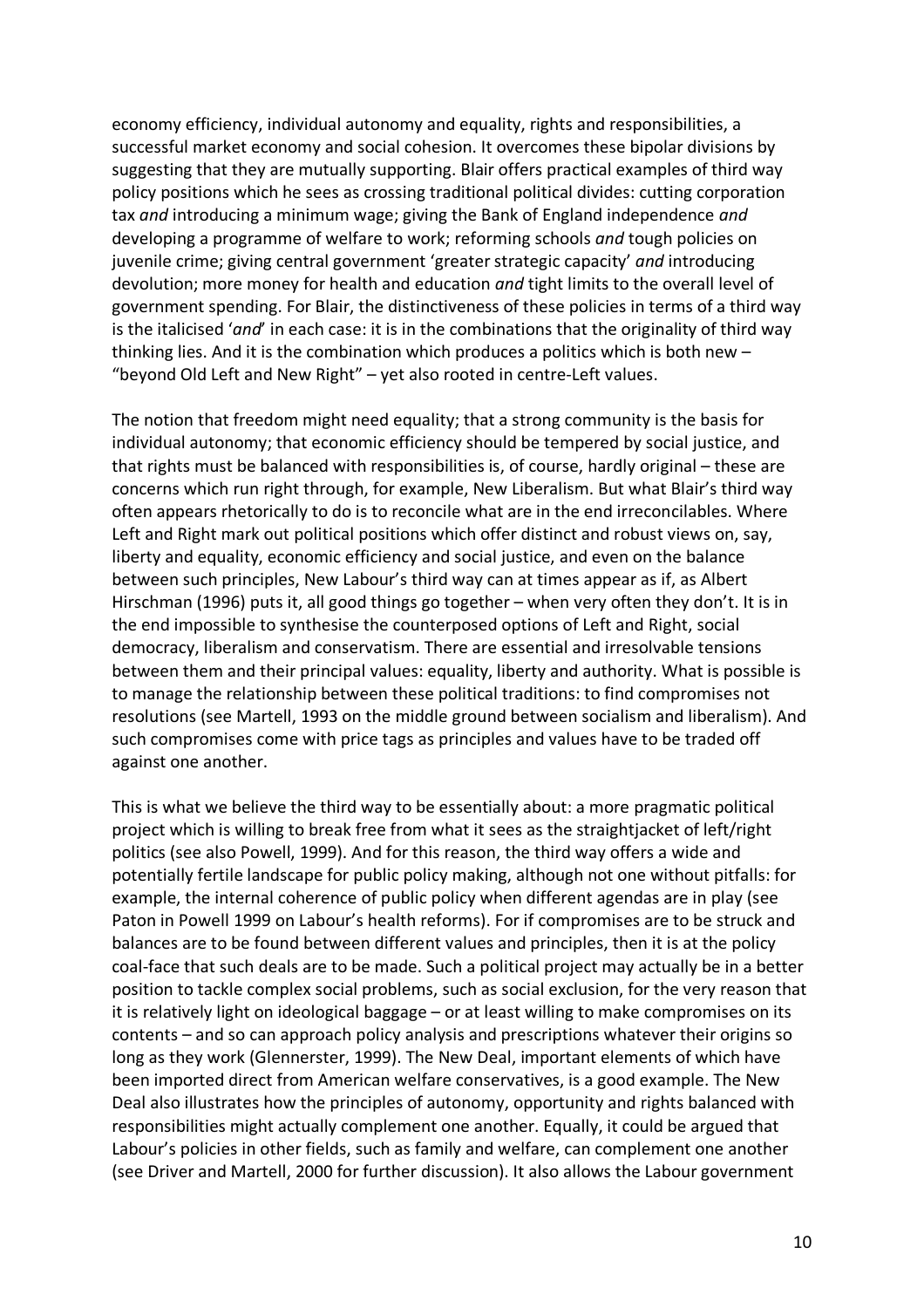economy efficiency, individual autonomy and equality, rights and responsibilities, a successful market economy and social cohesion. It overcomes these bipolar divisions by suggesting that they are mutually supporting. Blair offers practical examples of third way policy positions which he sees as crossing traditional political divides: cutting corporation tax *and* introducing a minimum wage; giving the Bank of England independence *and* developing a programme of welfare to work; reforming schools *and* tough policies on juvenile crime; giving central government 'greater strategic capacity' *and* introducing devolution; more money for health and education *and* tight limits to the overall level of government spending. For Blair, the distinctiveness of these policies in terms of a third way is the italicised '*and*' in each case: it is in the combinations that the originality of third way thinking lies. And it is the combination which produces a politics which is both new – "beyond Old Left and New Right" – yet also rooted in centre-Left values.

The notion that freedom might need equality; that a strong community is the basis for individual autonomy; that economic efficiency should be tempered by social justice, and that rights must be balanced with responsibilities is, of course, hardly original – these are concerns which run right through, for example, New Liberalism. But what Blair's third way often appears rhetorically to do is to reconcile what are in the end irreconcilables. Where Left and Right mark out political positions which offer distinct and robust views on, say, liberty and equality, economic efficiency and social justice, and even on the balance between such principles, New Labour's third way can at times appear as if, as Albert Hirschman (1996) puts it, all good things go together – when very often they don't. It is in the end impossible to synthesise the counterposed options of Left and Right, social democracy, liberalism and conservatism. There are essential and irresolvable tensions between them and their principal values: equality, liberty and authority. What is possible is to manage the relationship between these political traditions: to find compromises not resolutions (see Martell, 1993 on the middle ground between socialism and liberalism). And such compromises come with price tags as principles and values have to be traded off against one another.

This is what we believe the third way to be essentially about: a more pragmatic political project which is willing to break free from what it sees as the straightjacket of left/right politics (see also Powell, 1999). And for this reason, the third way offers a wide and potentially fertile landscape for public policy making, although not one without pitfalls: for example, the internal coherence of public policy when different agendas are in play (see Paton in Powell 1999 on Labour's health reforms). For if compromises are to be struck and balances are to be found between different values and principles, then it is at the policy coal-face that such deals are to be made. Such a political project may actually be in a better position to tackle complex social problems, such as social exclusion, for the very reason that it is relatively light on ideological baggage – or at least willing to make compromises on its contents – and so can approach policy analysis and prescriptions whatever their origins so long as they work (Glennerster, 1999). The New Deal, important elements of which have been imported direct from American welfare conservatives, is a good example. The New Deal also illustrates how the principles of autonomy, opportunity and rights balanced with responsibilities might actually complement one another. Equally, it could be argued that Labour's policies in other fields, such as family and welfare, can complement one another (see Driver and Martell, 2000 for further discussion). It also allows the Labour government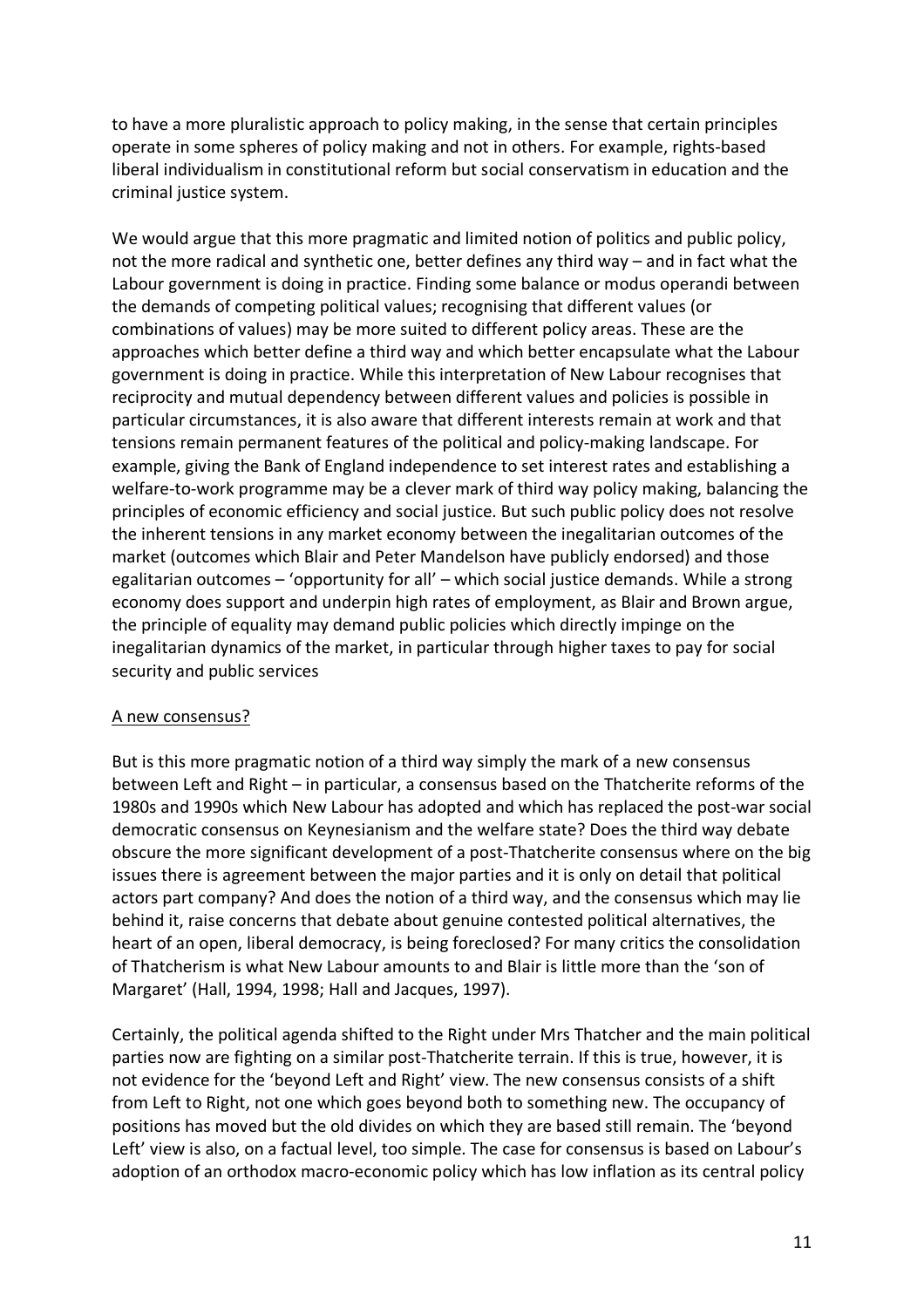to have a more pluralistic approach to policy making, in the sense that certain principles operate in some spheres of policy making and not in others. For example, rights-based liberal individualism in constitutional reform but social conservatism in education and the criminal justice system.

We would argue that this more pragmatic and limited notion of politics and public policy, not the more radical and synthetic one, better defines any third way – and in fact what the Labour government is doing in practice. Finding some balance or modus operandi between the demands of competing political values; recognising that different values (or combinations of values) may be more suited to different policy areas. These are the approaches which better define a third way and which better encapsulate what the Labour government is doing in practice. While this interpretation of New Labour recognises that reciprocity and mutual dependency between different values and policies is possible in particular circumstances, it is also aware that different interests remain at work and that tensions remain permanent features of the political and policy-making landscape. For example, giving the Bank of England independence to set interest rates and establishing a welfare-to-work programme may be a clever mark of third way policy making, balancing the principles of economic efficiency and social justice. But such public policy does not resolve the inherent tensions in any market economy between the inegalitarian outcomes of the market (outcomes which Blair and Peter Mandelson have publicly endorsed) and those egalitarian outcomes – 'opportunity for all' – which social justice demands. While a strong economy does support and underpin high rates of employment, as Blair and Brown argue, the principle of equality may demand public policies which directly impinge on the inegalitarian dynamics of the market, in particular through higher taxes to pay for social security and public services

#### A new consensus?

But is this more pragmatic notion of a third way simply the mark of a new consensus between Left and Right – in particular, a consensus based on the Thatcherite reforms of the 1980s and 1990s which New Labour has adopted and which has replaced the post-war social democratic consensus on Keynesianism and the welfare state? Does the third way debate obscure the more significant development of a post-Thatcherite consensus where on the big issues there is agreement between the major parties and it is only on detail that political actors part company? And does the notion of a third way, and the consensus which may lie behind it, raise concerns that debate about genuine contested political alternatives, the heart of an open, liberal democracy, is being foreclosed? For many critics the consolidation of Thatcherism is what New Labour amounts to and Blair is little more than the 'son of Margaret' (Hall, 1994, 1998; Hall and Jacques, 1997).

Certainly, the political agenda shifted to the Right under Mrs Thatcher and the main political parties now are fighting on a similar post-Thatcherite terrain. If this is true, however, it is not evidence for the 'beyond Left and Right' view. The new consensus consists of a shift from Left to Right, not one which goes beyond both to something new. The occupancy of positions has moved but the old divides on which they are based still remain. The 'beyond Left' view is also, on a factual level, too simple. The case for consensus is based on Labour's adoption of an orthodox macro-economic policy which has low inflation as its central policy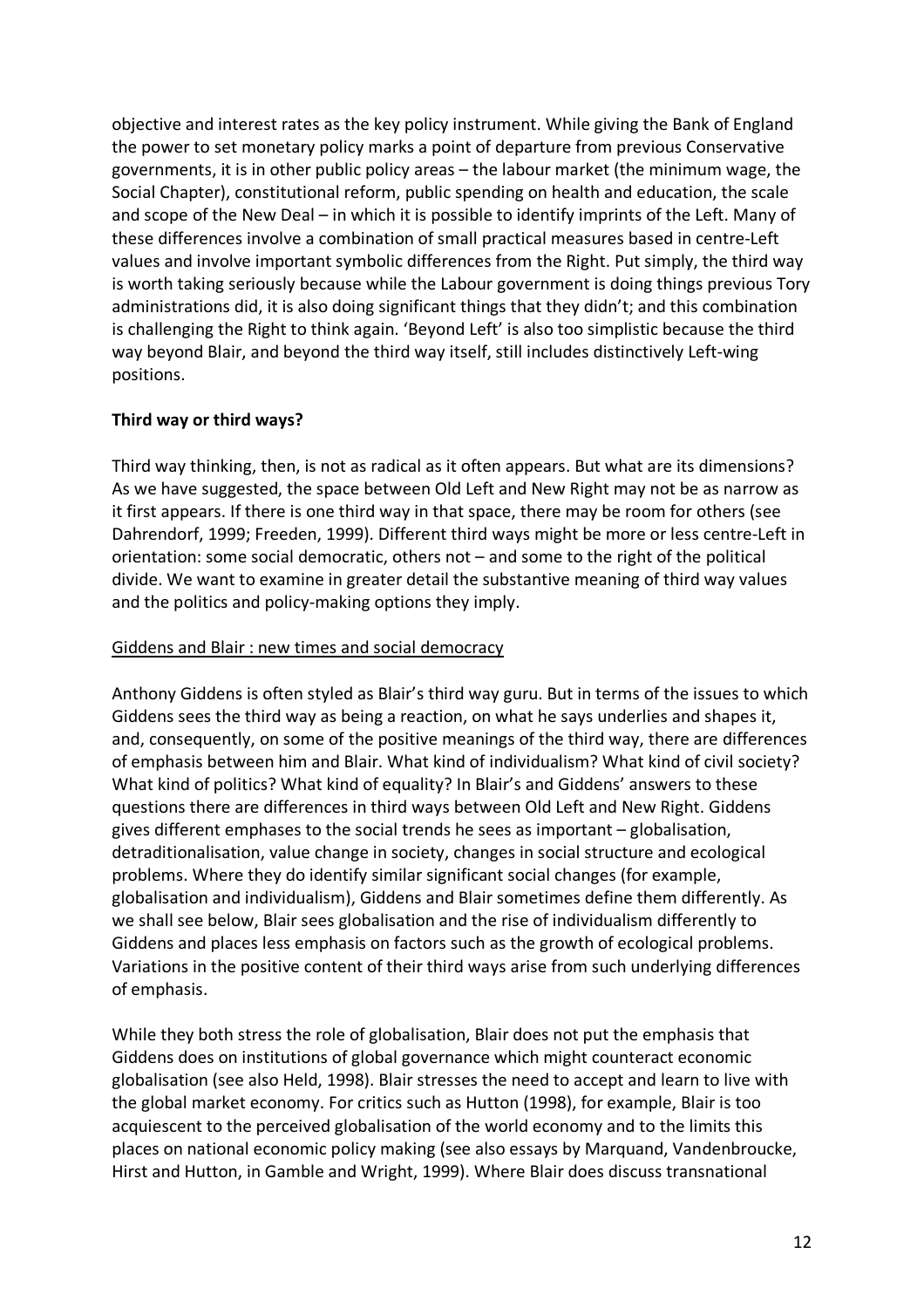objective and interest rates as the key policy instrument. While giving the Bank of England the power to set monetary policy marks a point of departure from previous Conservative governments, it is in other public policy areas – the labour market (the minimum wage, the Social Chapter), constitutional reform, public spending on health and education, the scale and scope of the New Deal – in which it is possible to identify imprints of the Left. Many of these differences involve a combination of small practical measures based in centre-Left values and involve important symbolic differences from the Right. Put simply, the third way is worth taking seriously because while the Labour government is doing things previous Tory administrations did, it is also doing significant things that they didn't; and this combination is challenging the Right to think again. 'Beyond Left' is also too simplistic because the third way beyond Blair, and beyond the third way itself, still includes distinctively Left-wing positions.

#### **Third way or third ways?**

Third way thinking, then, is not as radical as it often appears. But what are its dimensions? As we have suggested, the space between Old Left and New Right may not be as narrow as it first appears. If there is one third way in that space, there may be room for others (see Dahrendorf, 1999; Freeden, 1999). Different third ways might be more or less centre-Left in orientation: some social democratic, others not – and some to the right of the political divide. We want to examine in greater detail the substantive meaning of third way values and the politics and policy-making options they imply.

#### Giddens and Blair : new times and social democracy

Anthony Giddens is often styled as Blair's third way guru. But in terms of the issues to which Giddens sees the third way as being a reaction, on what he says underlies and shapes it, and, consequently, on some of the positive meanings of the third way, there are differences of emphasis between him and Blair. What kind of individualism? What kind of civil society? What kind of politics? What kind of equality? In Blair's and Giddens' answers to these questions there are differences in third ways between Old Left and New Right. Giddens gives different emphases to the social trends he sees as important – globalisation, detraditionalisation, value change in society, changes in social structure and ecological problems. Where they do identify similar significant social changes (for example, globalisation and individualism), Giddens and Blair sometimes define them differently. As we shall see below, Blair sees globalisation and the rise of individualism differently to Giddens and places less emphasis on factors such as the growth of ecological problems. Variations in the positive content of their third ways arise from such underlying differences of emphasis.

While they both stress the role of globalisation, Blair does not put the emphasis that Giddens does on institutions of global governance which might counteract economic globalisation (see also Held, 1998). Blair stresses the need to accept and learn to live with the global market economy. For critics such as Hutton (1998), for example, Blair is too acquiescent to the perceived globalisation of the world economy and to the limits this places on national economic policy making (see also essays by Marquand, Vandenbroucke, Hirst and Hutton, in Gamble and Wright, 1999). Where Blair does discuss transnational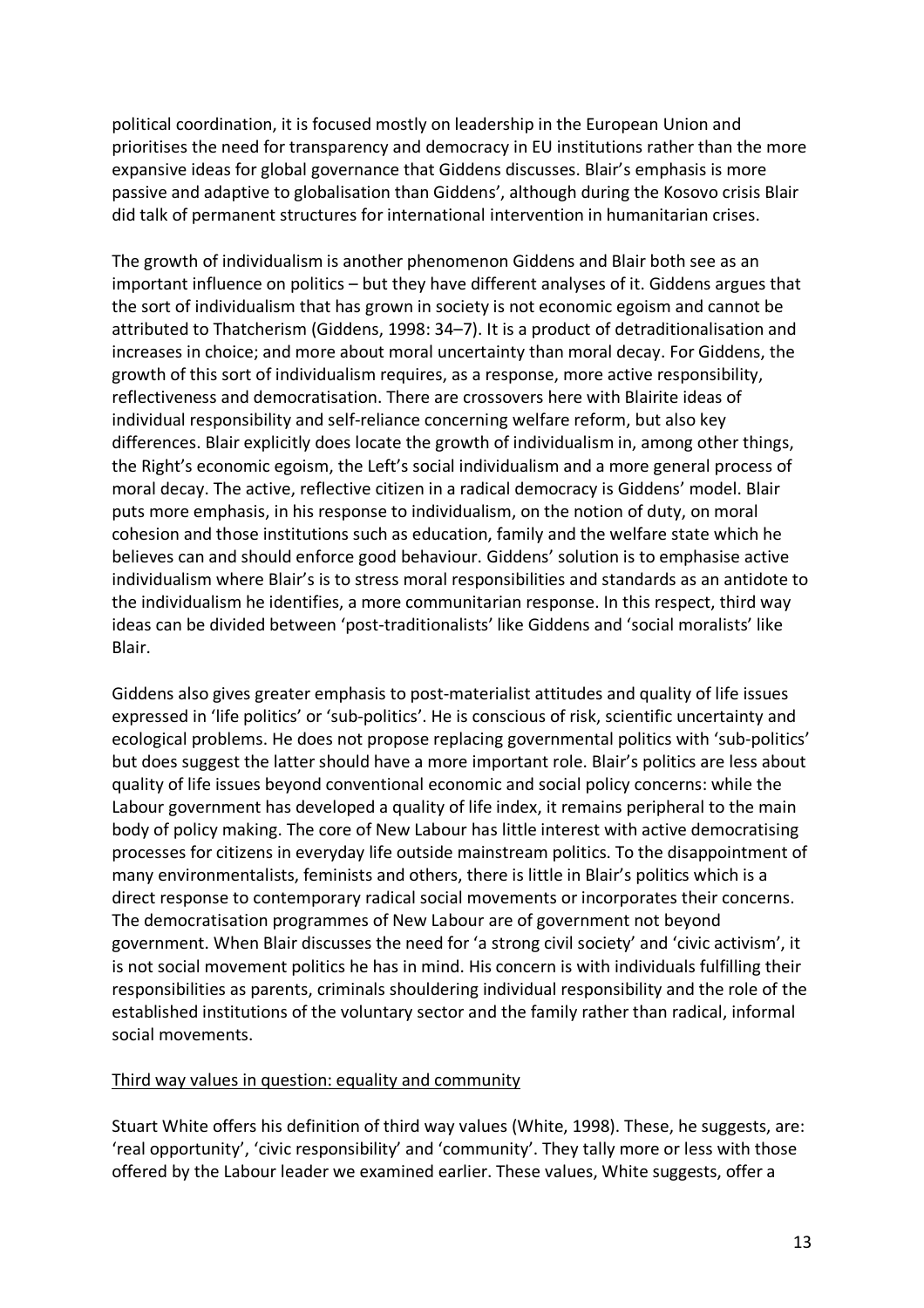political coordination, it is focused mostly on leadership in the European Union and prioritises the need for transparency and democracy in EU institutions rather than the more expansive ideas for global governance that Giddens discusses. Blair's emphasis is more passive and adaptive to globalisation than Giddens', although during the Kosovo crisis Blair did talk of permanent structures for international intervention in humanitarian crises.

The growth of individualism is another phenomenon Giddens and Blair both see as an important influence on politics – but they have different analyses of it. Giddens argues that the sort of individualism that has grown in society is not economic egoism and cannot be attributed to Thatcherism (Giddens, 1998: 34–7). It is a product of detraditionalisation and increases in choice; and more about moral uncertainty than moral decay. For Giddens, the growth of this sort of individualism requires, as a response, more active responsibility, reflectiveness and democratisation. There are crossovers here with Blairite ideas of individual responsibility and self-reliance concerning welfare reform, but also key differences. Blair explicitly does locate the growth of individualism in, among other things, the Right's economic egoism, the Left's social individualism and a more general process of moral decay. The active, reflective citizen in a radical democracy is Giddens' model. Blair puts more emphasis, in his response to individualism, on the notion of duty, on moral cohesion and those institutions such as education, family and the welfare state which he believes can and should enforce good behaviour. Giddens' solution is to emphasise active individualism where Blair's is to stress moral responsibilities and standards as an antidote to the individualism he identifies, a more communitarian response. In this respect, third way ideas can be divided between 'post-traditionalists' like Giddens and 'social moralists' like Blair.

Giddens also gives greater emphasis to post-materialist attitudes and quality of life issues expressed in 'life politics' or 'sub-politics'. He is conscious of risk, scientific uncertainty and ecological problems. He does not propose replacing governmental politics with 'sub-politics' but does suggest the latter should have a more important role. Blair's politics are less about quality of life issues beyond conventional economic and social policy concerns: while the Labour government has developed a quality of life index, it remains peripheral to the main body of policy making. The core of New Labour has little interest with active democratising processes for citizens in everyday life outside mainstream politics. To the disappointment of many environmentalists, feminists and others, there is little in Blair's politics which is a direct response to contemporary radical social movements or incorporates their concerns. The democratisation programmes of New Labour are of government not beyond government. When Blair discusses the need for 'a strong civil society' and 'civic activism', it is not social movement politics he has in mind. His concern is with individuals fulfilling their responsibilities as parents, criminals shouldering individual responsibility and the role of the established institutions of the voluntary sector and the family rather than radical, informal social movements.

#### Third way values in question: equality and community

Stuart White offers his definition of third way values (White, 1998). These, he suggests, are: 'real opportunity', 'civic responsibility' and 'community'. They tally more or less with those offered by the Labour leader we examined earlier. These values, White suggests, offer a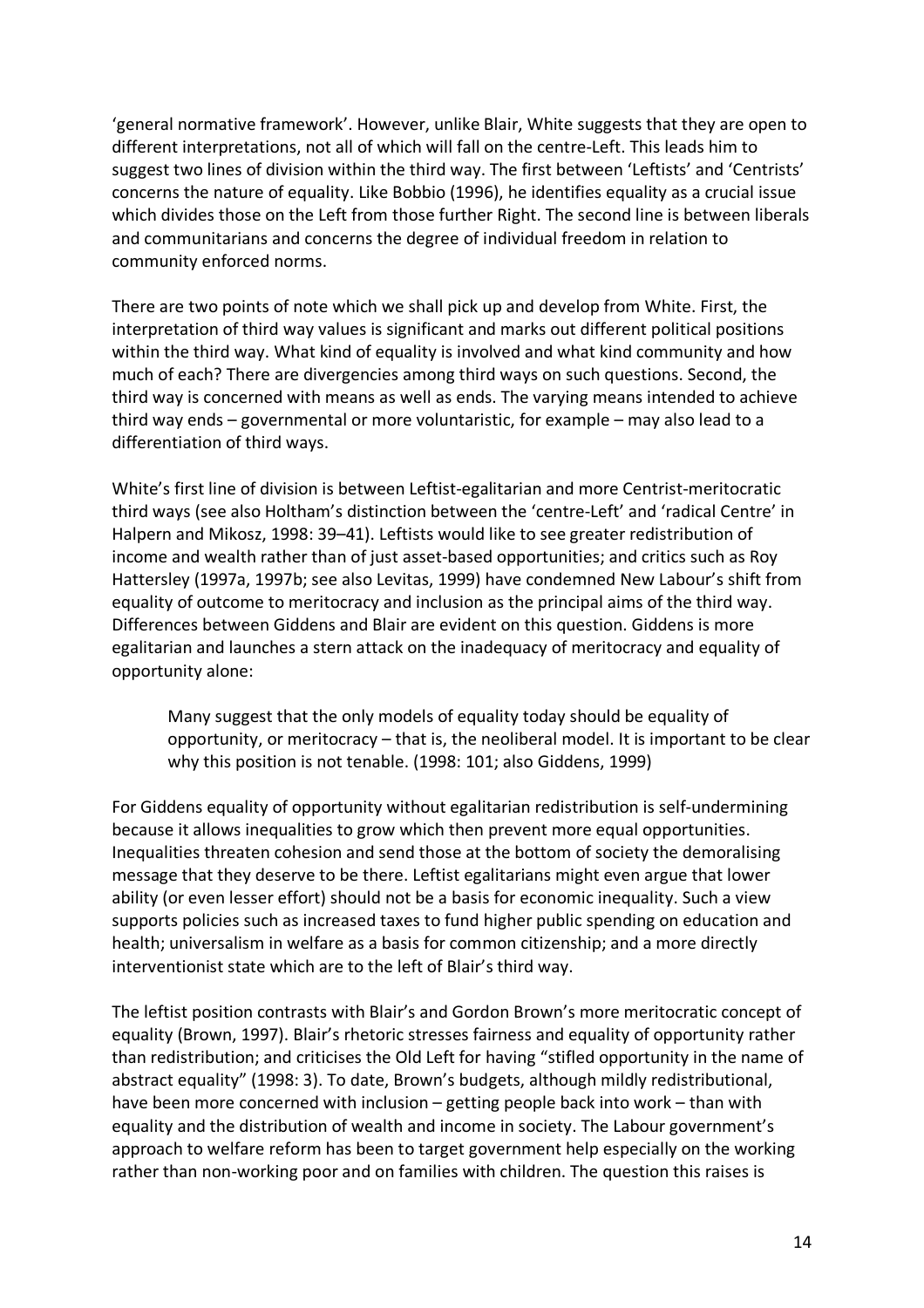'general normative framework'. However, unlike Blair, White suggests that they are open to different interpretations, not all of which will fall on the centre-Left. This leads him to suggest two lines of division within the third way. The first between 'Leftists' and 'Centrists' concerns the nature of equality. Like Bobbio (1996), he identifies equality as a crucial issue which divides those on the Left from those further Right. The second line is between liberals and communitarians and concerns the degree of individual freedom in relation to community enforced norms.

There are two points of note which we shall pick up and develop from White. First, the interpretation of third way values is significant and marks out different political positions within the third way. What kind of equality is involved and what kind community and how much of each? There are divergencies among third ways on such questions. Second, the third way is concerned with means as well as ends. The varying means intended to achieve third way ends – governmental or more voluntaristic, for example – may also lead to a differentiation of third ways.

White's first line of division is between Leftist-egalitarian and more Centrist-meritocratic third ways (see also Holtham's distinction between the 'centre-Left' and 'radical Centre' in Halpern and Mikosz, 1998: 39–41). Leftists would like to see greater redistribution of income and wealth rather than of just asset-based opportunities; and critics such as Roy Hattersley (1997a, 1997b; see also Levitas, 1999) have condemned New Labour's shift from equality of outcome to meritocracy and inclusion as the principal aims of the third way. Differences between Giddens and Blair are evident on this question. Giddens is more egalitarian and launches a stern attack on the inadequacy of meritocracy and equality of opportunity alone:

Many suggest that the only models of equality today should be equality of opportunity, or meritocracy – that is, the neoliberal model. It is important to be clear why this position is not tenable. (1998: 101; also Giddens, 1999)

For Giddens equality of opportunity without egalitarian redistribution is self-undermining because it allows inequalities to grow which then prevent more equal opportunities. Inequalities threaten cohesion and send those at the bottom of society the demoralising message that they deserve to be there. Leftist egalitarians might even argue that lower ability (or even lesser effort) should not be a basis for economic inequality. Such a view supports policies such as increased taxes to fund higher public spending on education and health; universalism in welfare as a basis for common citizenship; and a more directly interventionist state which are to the left of Blair's third way.

The leftist position contrasts with Blair's and Gordon Brown's more meritocratic concept of equality (Brown, 1997). Blair's rhetoric stresses fairness and equality of opportunity rather than redistribution; and criticises the Old Left for having "stifled opportunity in the name of abstract equality" (1998: 3). To date, Brown's budgets, although mildly redistributional, have been more concerned with inclusion – getting people back into work – than with equality and the distribution of wealth and income in society. The Labour government's approach to welfare reform has been to target government help especially on the working rather than non-working poor and on families with children. The question this raises is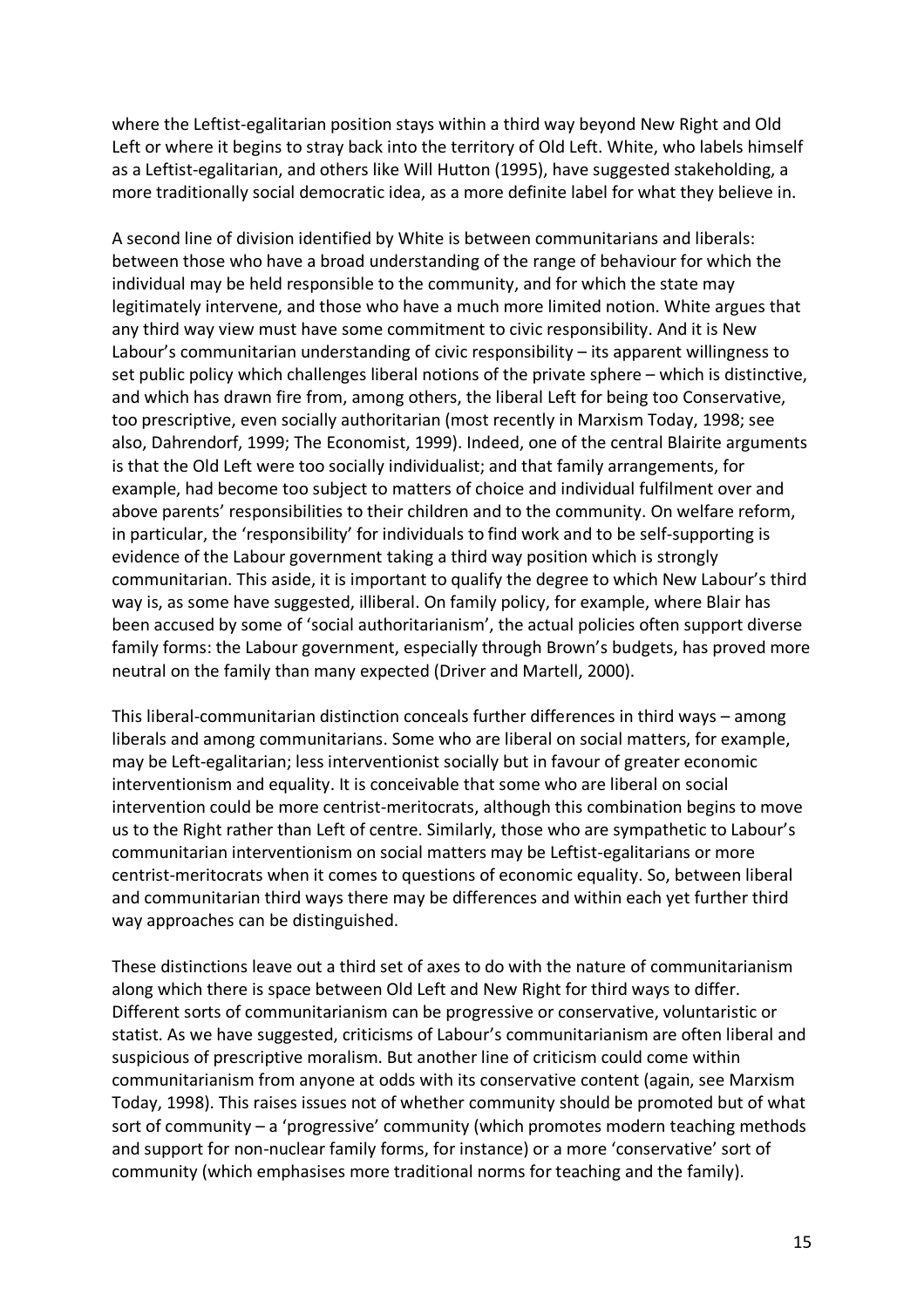where the Leftist-egalitarian position stays within a third way beyond New Right and Old Left or where it begins to stray back into the territory of Old Left. White, who labels himself as a Leftist-egalitarian, and others like Will Hutton (1995), have suggested stakeholding, a more traditionally social democratic idea, as a more definite label for what they believe in.

A second line of division identified by White is between communitarians and liberals: between those who have a broad understanding of the range of behaviour for which the individual may be held responsible to the community, and for which the state may legitimately intervene, and those who have a much more limited notion. White argues that any third way view must have some commitment to civic responsibility. And it is New Labour's communitarian understanding of civic responsibility – its apparent willingness to set public policy which challenges liberal notions of the private sphere – which is distinctive, and which has drawn fire from, among others, the liberal Left for being too Conservative, too prescriptive, even socially authoritarian (most recently in Marxism Today, 1998; see also, Dahrendorf, 1999; The Economist, 1999). Indeed, one of the central Blairite arguments is that the Old Left were too socially individualist; and that family arrangements, for example, had become too subject to matters of choice and individual fulfilment over and above parents' responsibilities to their children and to the community. On welfare reform, in particular, the 'responsibility' for individuals to find work and to be self-supporting is evidence of the Labour government taking a third way position which is strongly communitarian. This aside, it is important to qualify the degree to which New Labour's third way is, as some have suggested, illiberal. On family policy, for example, where Blair has been accused by some of 'social authoritarianism', the actual policies often support diverse family forms: the Labour government, especially through Brown's budgets, has proved more neutral on the family than many expected (Driver and Martell, 2000).

This liberal-communitarian distinction conceals further differences in third ways – among liberals and among communitarians. Some who are liberal on social matters, for example, may be Left-egalitarian; less interventionist socially but in favour of greater economic interventionism and equality. It is conceivable that some who are liberal on social intervention could be more centrist-meritocrats, although this combination begins to move us to the Right rather than Left of centre. Similarly, those who are sympathetic to Labour's communitarian interventionism on social matters may be Leftist-egalitarians or more centrist-meritocrats when it comes to questions of economic equality. So, between liberal and communitarian third ways there may be differences and within each yet further third way approaches can be distinguished.

These distinctions leave out a third set of axes to do with the nature of communitarianism along which there is space between Old Left and New Right for third ways to differ. Different sorts of communitarianism can be progressive or conservative, voluntaristic or statist. As we have suggested, criticisms of Labour's communitarianism are often liberal and suspicious of prescriptive moralism. But another line of criticism could come within communitarianism from anyone at odds with its conservative content (again, see Marxism Today, 1998). This raises issues not of whether community should be promoted but of what sort of community – a 'progressive' community (which promotes modern teaching methods and support for non-nuclear family forms, for instance) or a more 'conservative' sort of community (which emphasises more traditional norms for teaching and the family).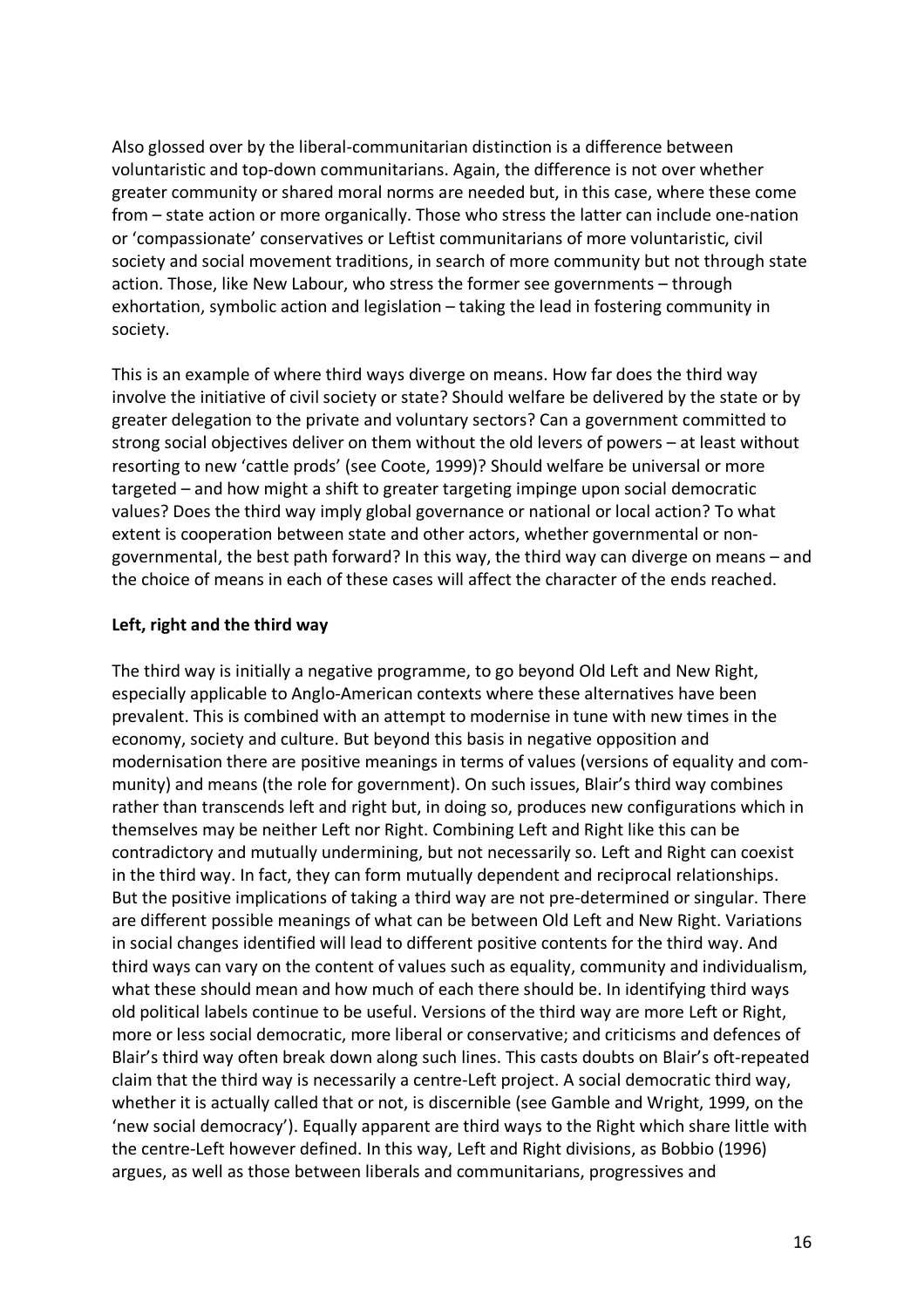Also glossed over by the liberal-communitarian distinction is a difference between voluntaristic and top-down communitarians. Again, the difference is not over whether greater community or shared moral norms are needed but, in this case, where these come from – state action or more organically. Those who stress the latter can include one-nation or 'compassionate' conservatives or Leftist communitarians of more voluntaristic, civil society and social movement traditions, in search of more community but not through state action. Those, like New Labour, who stress the former see governments – through exhortation, symbolic action and legislation – taking the lead in fostering community in society.

This is an example of where third ways diverge on means. How far does the third way involve the initiative of civil society or state? Should welfare be delivered by the state or by greater delegation to the private and voluntary sectors? Can a government committed to strong social objectives deliver on them without the old levers of powers – at least without resorting to new 'cattle prods' (see Coote, 1999)? Should welfare be universal or more targeted – and how might a shift to greater targeting impinge upon social democratic values? Does the third way imply global governance or national or local action? To what extent is cooperation between state and other actors, whether governmental or nongovernmental, the best path forward? In this way, the third way can diverge on means – and the choice of means in each of these cases will affect the character of the ends reached.

#### **Left, right and the third way**

The third way is initially a negative programme, to go beyond Old Left and New Right, especially applicable to Anglo-American contexts where these alternatives have been prevalent. This is combined with an attempt to modernise in tune with new times in the economy, society and culture. But beyond this basis in negative opposition and modernisation there are positive meanings in terms of values (versions of equality and community) and means (the role for government). On such issues, Blair's third way combines rather than transcends left and right but, in doing so, produces new configurations which in themselves may be neither Left nor Right. Combining Left and Right like this can be contradictory and mutually undermining, but not necessarily so. Left and Right can coexist in the third way. In fact, they can form mutually dependent and reciprocal relationships. But the positive implications of taking a third way are not pre-determined or singular. There are different possible meanings of what can be between Old Left and New Right. Variations in social changes identified will lead to different positive contents for the third way. And third ways can vary on the content of values such as equality, community and individualism, what these should mean and how much of each there should be. In identifying third ways old political labels continue to be useful. Versions of the third way are more Left or Right, more or less social democratic, more liberal or conservative; and criticisms and defences of Blair's third way often break down along such lines. This casts doubts on Blair's oft-repeated claim that the third way is necessarily a centre-Left project. A social democratic third way, whether it is actually called that or not, is discernible (see Gamble and Wright, 1999, on the 'new social democracy'). Equally apparent are third ways to the Right which share little with the centre-Left however defined. In this way, Left and Right divisions, as Bobbio (1996) argues, as well as those between liberals and communitarians, progressives and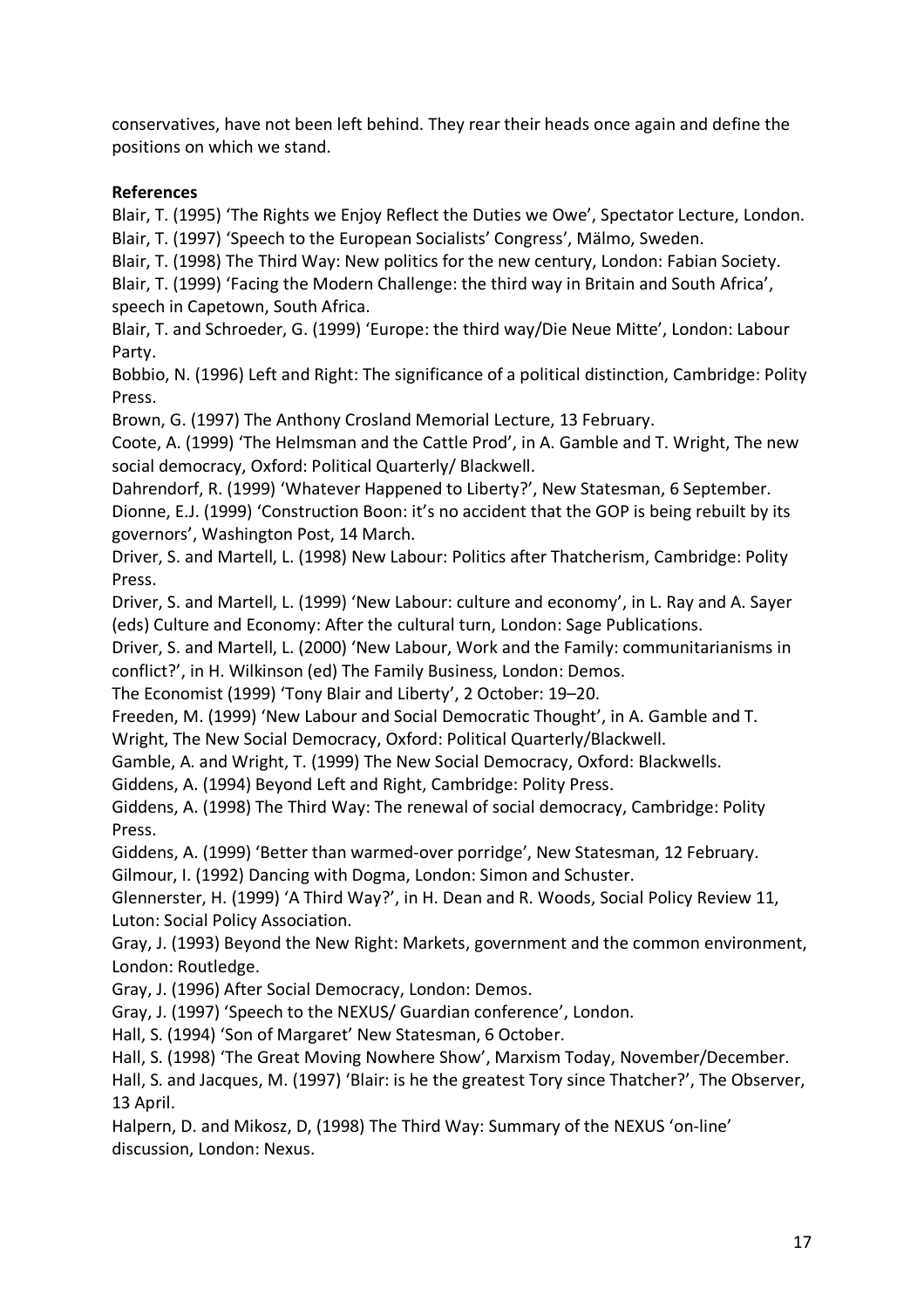conservatives, have not been left behind. They rear their heads once again and define the positions on which we stand.

### **References**

Blair, T. (1995) 'The Rights we Enjoy Reflect the Duties we Owe', Spectator Lecture, London.

Blair, T. (1997) 'Speech to the European Socialists' Congress', Mälmo, Sweden.

Blair, T. (1998) The Third Way: New politics for the new century, London: Fabian Society.

Blair, T. (1999) 'Facing the Modern Challenge: the third way in Britain and South Africa', speech in Capetown, South Africa.

Blair, T. and Schroeder, G. (1999) 'Europe: the third way/Die Neue Mitte', London: Labour Party.

Bobbio, N. (1996) Left and Right: The significance of a political distinction, Cambridge: Polity Press.

Brown, G. (1997) The Anthony Crosland Memorial Lecture, 13 February.

Coote, A. (1999) 'The Helmsman and the Cattle Prod', in A. Gamble and T. Wright, The new social democracy, Oxford: Political Quarterly/ Blackwell.

Dahrendorf, R. (1999) 'Whatever Happened to Liberty?', New Statesman, 6 September. Dionne, E.J. (1999) 'Construction Boon: it's no accident that the GOP is being rebuilt by its governors', Washington Post, 14 March.

Driver, S. and Martell, L. (1998) New Labour: Politics after Thatcherism, Cambridge: Polity Press.

Driver, S. and Martell, L. (1999) 'New Labour: culture and economy', in L. Ray and A. Sayer (eds) Culture and Economy: After the cultural turn, London: Sage Publications.

Driver, S. and Martell, L. (2000) 'New Labour, Work and the Family: communitarianisms in conflict?', in H. Wilkinson (ed) The Family Business, London: Demos.

The Economist (1999) 'Tony Blair and Liberty', 2 October: 19–20.

Freeden, M. (1999) 'New Labour and Social Democratic Thought', in A. Gamble and T. Wright, The New Social Democracy, Oxford: Political Quarterly/Blackwell.

Gamble, A. and Wright, T. (1999) The New Social Democracy, Oxford: Blackwells.

Giddens, A. (1994) Beyond Left and Right, Cambridge: Polity Press.

Giddens, A. (1998) The Third Way: The renewal of social democracy, Cambridge: Polity Press.

Giddens, A. (1999) 'Better than warmed-over porridge', New Statesman, 12 February. Gilmour, I. (1992) Dancing with Dogma, London: Simon and Schuster.

Glennerster, H. (1999) 'A Third Way?', in H. Dean and R. Woods, Social Policy Review 11, Luton: Social Policy Association.

Gray, J. (1993) Beyond the New Right: Markets, government and the common environment, London: Routledge.

Gray, J. (1996) After Social Democracy, London: Demos.

Gray, J. (1997) 'Speech to the NEXUS/ Guardian conference', London.

Hall, S. (1994) 'Son of Margaret' New Statesman, 6 October.

Hall, S. (1998) 'The Great Moving Nowhere Show', Marxism Today, November/December.

Hall, S. and Jacques, M. (1997) 'Blair: is he the greatest Tory since Thatcher?', The Observer, 13 April.

Halpern, D. and Mikosz, D, (1998) The Third Way: Summary of the NEXUS 'on-line' discussion, London: Nexus.